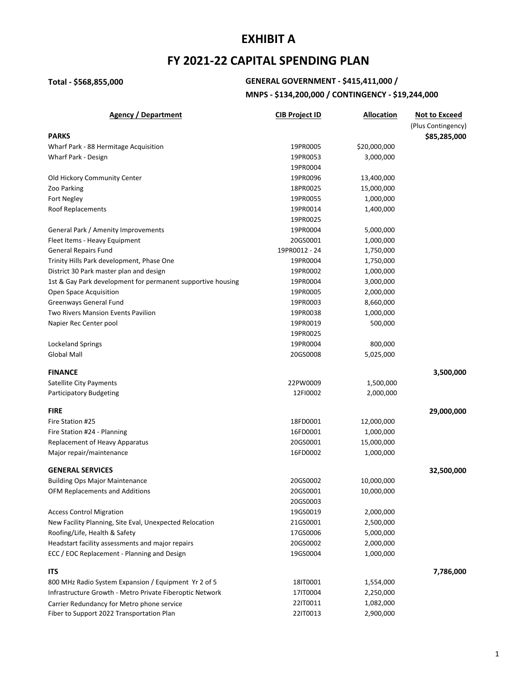## **FY 2021-22 CAPITAL SPENDING PLAN**

## **Total - \$568,855,000 GENERAL GOVERNMENT - \$415,411,000 / MNPS - \$134,200,000 / CONTINGENCY - \$19,244,000**

| <b>Agency / Department</b>                                  | <b>CIB Project ID</b> | <b>Allocation</b> | <b>Not to Exceed</b> |
|-------------------------------------------------------------|-----------------------|-------------------|----------------------|
|                                                             |                       |                   | (Plus Contingency)   |
| <b>PARKS</b>                                                |                       |                   | \$85,285,000         |
| Wharf Park - 88 Hermitage Acquisition                       | 19PR0005              | \$20,000,000      |                      |
| Wharf Park - Design                                         | 19PR0053              | 3,000,000         |                      |
|                                                             | 19PR0004              |                   |                      |
| Old Hickory Community Center                                | 19PR0096              | 13,400,000        |                      |
| Zoo Parking                                                 | 18PR0025              | 15,000,000        |                      |
| Fort Negley                                                 | 19PR0055              | 1,000,000         |                      |
| Roof Replacements                                           | 19PR0014              | 1,400,000         |                      |
|                                                             | 19PR0025              |                   |                      |
| General Park / Amenity Improvements                         | 19PR0004              | 5,000,000         |                      |
| Fleet Items - Heavy Equipment                               | 20GS0001              | 1,000,000         |                      |
| <b>General Repairs Fund</b>                                 | 19PR0012 - 24         | 1,750,000         |                      |
| Trinity Hills Park development, Phase One                   | 19PR0004              | 1,750,000         |                      |
| District 30 Park master plan and design                     | 19PR0002              | 1,000,000         |                      |
| 1st & Gay Park development for permanent supportive housing | 19PR0004              | 3,000,000         |                      |
| Open Space Acquisition                                      | 19PR0005              | 2,000,000         |                      |
| Greenways General Fund                                      | 19PR0003              | 8,660,000         |                      |
| Two Rivers Mansion Events Pavilion                          | 19PR0038              | 1,000,000         |                      |
| Napier Rec Center pool                                      | 19PR0019              | 500,000           |                      |
|                                                             | 19PR0025              |                   |                      |
| <b>Lockeland Springs</b>                                    | 19PR0004              | 800,000           |                      |
| Global Mall                                                 | 20GS0008              | 5,025,000         |                      |
| <b>FINANCE</b>                                              |                       |                   | 3,500,000            |
| Satellite City Payments                                     | 22PW0009              | 1,500,000         |                      |
| Participatory Budgeting                                     | 12FI0002              | 2,000,000         |                      |
|                                                             |                       |                   |                      |
| <b>FIRE</b>                                                 |                       |                   | 29,000,000           |
| Fire Station #25                                            | 18FD0001              | 12,000,000        |                      |
| Fire Station #24 - Planning                                 | 16FD0001              | 1,000,000         |                      |
| Replacement of Heavy Apparatus                              | 20GS0001              | 15,000,000        |                      |
| Major repair/maintenance                                    | 16FD0002              | 1,000,000         |                      |
| <b>GENERAL SERVICES</b>                                     |                       |                   | 32,500,000           |
| <b>Building Ops Major Maintenance</b>                       | 20GS0002              | 10,000,000        |                      |
| OFM Replacements and Additions                              | 20GS0001              | 10,000,000        |                      |
|                                                             | 20GS0003              |                   |                      |
| <b>Access Control Migration</b>                             | 19GS0019              | 2,000,000         |                      |
| New Facility Planning, Site Eval, Unexpected Relocation     | 21GS0001              | 2,500,000         |                      |
| Roofing/Life, Health & Safety                               | 17GS0006              | 5,000,000         |                      |
| Headstart facility assessments and major repairs            | 20GS0002              | 2,000,000         |                      |
| ECC / EOC Replacement - Planning and Design                 | 19GS0004              | 1,000,000         |                      |
|                                                             |                       |                   |                      |
| <b>ITS</b>                                                  |                       |                   | 7,786,000            |
| 800 MHz Radio System Expansion / Equipment Yr 2 of 5        | 18IT0001              | 1,554,000         |                      |
| Infrastructure Growth - Metro Private Fiberoptic Network    | 17IT0004              | 2,250,000         |                      |
| Carrier Redundancy for Metro phone service                  | 22IT0011              | 1,082,000         |                      |
| Fiber to Support 2022 Transportation Plan                   | 22IT0013              | 2,900,000         |                      |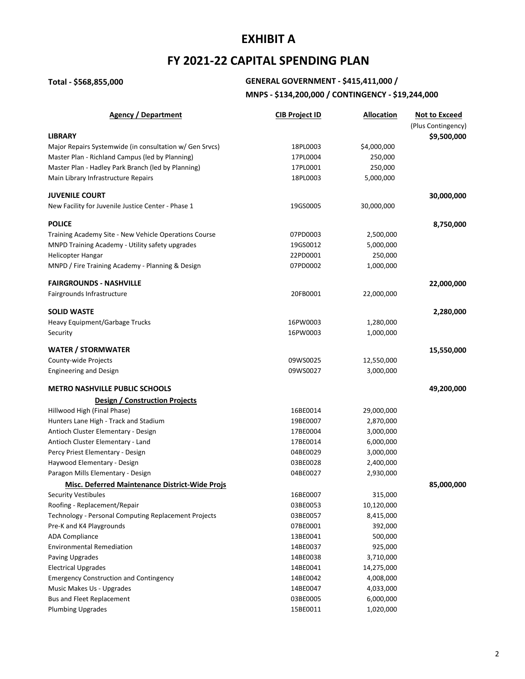## **FY 2021-22 CAPITAL SPENDING PLAN**

## **Total - \$568,855,000 GENERAL GOVERNMENT - \$415,411,000 /**

## **MNPS - \$134,200,000 / CONTINGENCY - \$19,244,000**

| <b>Agency / Department</b>                              | <b>CIB Project ID</b> | <b>Allocation</b> | <b>Not to Exceed</b> |
|---------------------------------------------------------|-----------------------|-------------------|----------------------|
|                                                         |                       |                   | (Plus Contingency)   |
| <b>LIBRARY</b>                                          |                       |                   | \$9,500,000          |
| Major Repairs Systemwide (in consultation w/ Gen Srvcs) | 18PL0003              | \$4,000,000       |                      |
| Master Plan - Richland Campus (led by Planning)         | 17PL0004              | 250,000           |                      |
| Master Plan - Hadley Park Branch (led by Planning)      | 17PL0001              | 250,000           |                      |
| Main Library Infrastructure Repairs                     | 18PL0003              | 5,000,000         |                      |
| <b>JUVENILE COURT</b>                                   |                       |                   | 30,000,000           |
| New Facility for Juvenile Justice Center - Phase 1      | 19GS0005              | 30,000,000        |                      |
| <b>POLICE</b>                                           |                       |                   | 8,750,000            |
| Training Academy Site - New Vehicle Operations Course   | 07PD0003              | 2,500,000         |                      |
| MNPD Training Academy - Utility safety upgrades         | 19GS0012              | 5,000,000         |                      |
| <b>Helicopter Hangar</b>                                | 22PD0001              | 250,000           |                      |
| MNPD / Fire Training Academy - Planning & Design        | 07PD0002              | 1,000,000         |                      |
| <b>FAIRGROUNDS - NASHVILLE</b>                          |                       |                   | 22,000,000           |
| Fairgrounds Infrastructure                              | 20FB0001              | 22,000,000        |                      |
|                                                         |                       |                   |                      |
| <b>SOLID WASTE</b>                                      |                       |                   | 2,280,000            |
| Heavy Equipment/Garbage Trucks                          | 16PW0003              | 1,280,000         |                      |
| Security                                                | 16PW0003              | 1,000,000         |                      |
| <b>WATER / STORMWATER</b>                               |                       |                   | 15,550,000           |
| County-wide Projects                                    | 09WS0025              | 12,550,000        |                      |
| <b>Engineering and Design</b>                           | 09WS0027              | 3,000,000         |                      |
| <b>METRO NASHVILLE PUBLIC SCHOOLS</b>                   |                       |                   | 49,200,000           |
| <b>Design / Construction Projects</b>                   |                       |                   |                      |
| Hillwood High (Final Phase)                             | 16BE0014              | 29,000,000        |                      |
| Hunters Lane High - Track and Stadium                   | 19BE0007              | 2,870,000         |                      |
| Antioch Cluster Elementary - Design                     | 17BE0004              | 3,000,000         |                      |
| Antioch Cluster Elementary - Land                       | 17BE0014              | 6,000,000         |                      |
| Percy Priest Elementary - Design                        | 04BE0029              | 3,000,000         |                      |
| Haywood Elementary - Design                             | 03BE0028              | 2,400,000         |                      |
| Paragon Mills Elementary - Design                       | 04BE0027              | 2,930,000         |                      |
| <b>Misc. Deferred Maintenance District-Wide Projs</b>   |                       |                   | 85,000,000           |
| <b>Security Vestibules</b>                              | 16BE0007              | 315,000           |                      |
| Roofing - Replacement/Repair                            | 03BE0053              | 10,120,000        |                      |
| Technology - Personal Computing Replacement Projects    | 03BE0057              | 8,415,000         |                      |
| Pre-K and K4 Playgrounds                                | 07BE0001              | 392,000           |                      |
| <b>ADA Compliance</b>                                   | 13BE0041              | 500,000           |                      |
| <b>Environmental Remediation</b>                        | 14BE0037              | 925,000           |                      |
| Paving Upgrades                                         | 14BE0038              | 3,710,000         |                      |
| <b>Electrical Upgrades</b>                              | 14BE0041              | 14,275,000        |                      |
| <b>Emergency Construction and Contingency</b>           | 14BE0042              | 4,008,000         |                      |
| Music Makes Us - Upgrades                               | 14BE0047              | 4,033,000         |                      |
| Bus and Fleet Replacement                               | 03BE0005              | 6,000,000         |                      |
| <b>Plumbing Upgrades</b>                                | 15BE0011              | 1,020,000         |                      |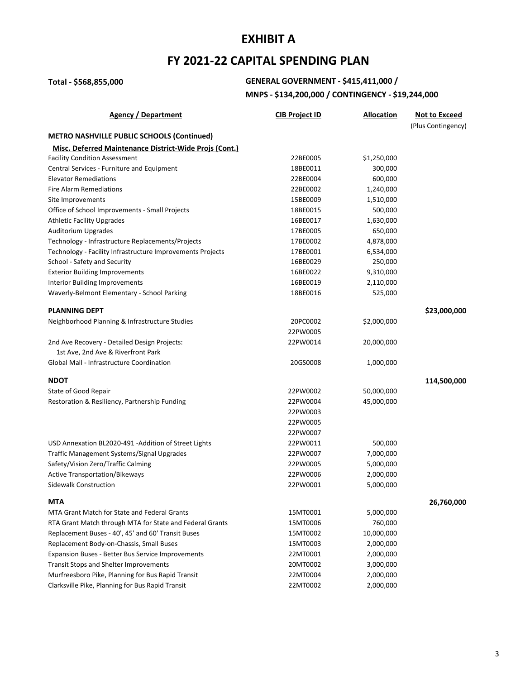## **FY 2021-22 CAPITAL SPENDING PLAN**

# **Total - \$568,855,000 GENERAL GOVERNMENT - \$415,411,000 /**

## **MNPS - \$134,200,000 / CONTINGENCY - \$19,244,000**

| Agency / Department                                           | <b>CIB Project ID</b> | <b>Allocation</b> | <b>Not to Exceed</b> |
|---------------------------------------------------------------|-----------------------|-------------------|----------------------|
|                                                               |                       |                   | (Plus Contingency)   |
| <b>METRO NASHVILLE PUBLIC SCHOOLS (Continued)</b>             |                       |                   |                      |
| <b>Misc. Deferred Maintenance District-Wide Projs (Cont.)</b> |                       |                   |                      |
| <b>Facility Condition Assessment</b>                          | 22BE0005              | \$1,250,000       |                      |
| Central Services - Furniture and Equipment                    | 18BE0011              | 300,000           |                      |
| <b>Elevator Remediations</b>                                  | 22BE0004              | 600,000           |                      |
| <b>Fire Alarm Remediations</b>                                | 22BE0002              | 1,240,000         |                      |
| Site Improvements                                             | 15BE0009              | 1,510,000         |                      |
| Office of School Improvements - Small Projects                | 18BE0015              | 500,000           |                      |
| <b>Athletic Facility Upgrades</b>                             | 16BE0017              | 1,630,000         |                      |
| Auditorium Upgrades                                           | 17BE0005              | 650,000           |                      |
| Technology - Infrastructure Replacements/Projects             | 17BE0002              | 4,878,000         |                      |
| Technology - Facility Infrastructure Improvements Projects    | 17BE0001              | 6,534,000         |                      |
| School - Safety and Security                                  | 16BE0029              | 250,000           |                      |
| <b>Exterior Building Improvements</b>                         | 16BE0022              | 9,310,000         |                      |
| Interior Building Improvements                                | 16BE0019              | 2,110,000         |                      |
| Waverly-Belmont Elementary - School Parking                   | 18BE0016              | 525,000           |                      |
| <b>PLANNING DEPT</b>                                          |                       |                   | \$23,000,000         |
| Neighborhood Planning & Infrastructure Studies                | 20PC0002              | \$2,000,000       |                      |
|                                                               | 22PW0005              |                   |                      |
| 2nd Ave Recovery - Detailed Design Projects:                  | 22PW0014              | 20,000,000        |                      |
| 1st Ave, 2nd Ave & Riverfront Park                            |                       |                   |                      |
| Global Mall - Infrastructure Coordination                     | 20GS0008              | 1,000,000         |                      |
| <b>NDOT</b>                                                   |                       |                   | 114,500,000          |
| State of Good Repair                                          | 22PW0002              | 50,000,000        |                      |
| Restoration & Resiliency, Partnership Funding                 | 22PW0004              | 45,000,000        |                      |
|                                                               | 22PW0003              |                   |                      |
|                                                               | 22PW0005              |                   |                      |
|                                                               | 22PW0007              |                   |                      |
| USD Annexation BL2020-491 -Addition of Street Lights          | 22PW0011              | 500,000           |                      |
| Traffic Management Systems/Signal Upgrades                    | 22PW0007              | 7,000,000         |                      |
| Safety/Vision Zero/Traffic Calming                            | 22PW0005              | 5,000,000         |                      |
| <b>Active Transportation/Bikeways</b>                         | 22PW0006              | 2,000,000         |                      |
| Sidewalk Construction                                         | 22PW0001              | 5,000,000         |                      |
| MTA                                                           |                       |                   | 26,760,000           |
| MTA Grant Match for State and Federal Grants                  | 15MT0001              | 5,000,000         |                      |
| RTA Grant Match through MTA for State and Federal Grants      | 15MT0006              | 760,000           |                      |
| Replacement Buses - 40', 45' and 60' Transit Buses            | 15MT0002              | 10,000,000        |                      |
| Replacement Body-on-Chassis, Small Buses                      | 15MT0003              | 2,000,000         |                      |
| <b>Expansion Buses - Better Bus Service Improvements</b>      | 22MT0001              | 2,000,000         |                      |
| <b>Transit Stops and Shelter Improvements</b>                 | 20MT0002              | 3,000,000         |                      |
| Murfreesboro Pike, Planning for Bus Rapid Transit             | 22MT0004              | 2,000,000         |                      |
| Clarksville Pike, Planning for Bus Rapid Transit              | 22MT0002              | 2,000,000         |                      |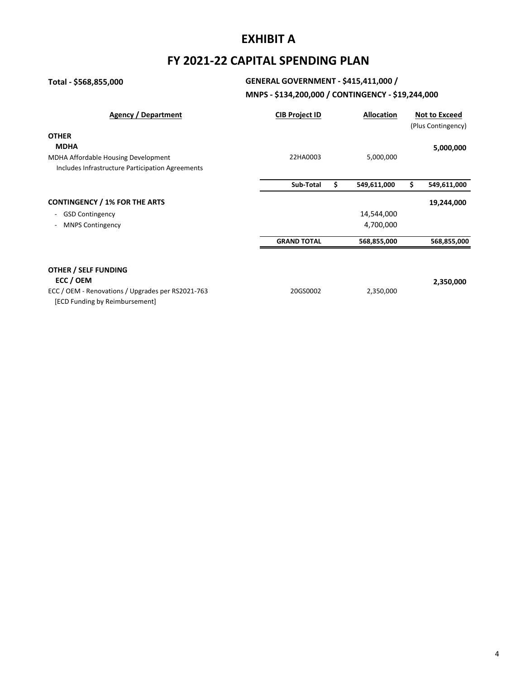## **FY 2021-22 CAPITAL SPENDING PLAN**

## **Total - \$568,855,000 GENERAL GOVERNMENT - \$415,411,000 /**

## **MNPS - \$134,200,000 / CONTINGENCY - \$19,244,000**

| Agency / Department                                | <b>CIB Project ID</b> | <b>Allocation</b> | <b>Not to Exceed</b><br>(Plus Contingency) |
|----------------------------------------------------|-----------------------|-------------------|--------------------------------------------|
| <b>OTHER</b>                                       |                       |                   |                                            |
| <b>MDHA</b>                                        |                       |                   | 5,000,000                                  |
| MDHA Affordable Housing Development                | 22HA0003              | 5,000,000         |                                            |
| Includes Infrastructure Participation Agreements   |                       |                   |                                            |
|                                                    | Sub-Total             | \$<br>549,611,000 | \$<br>549,611,000                          |
| <b>CONTINGENCY / 1% FOR THE ARTS</b>               |                       |                   | 19,244,000                                 |
| <b>GSD Contingency</b><br>$\overline{\phantom{a}}$ |                       | 14,544,000        |                                            |
| <b>MNPS Contingency</b>                            |                       | 4,700,000         |                                            |
|                                                    | <b>GRAND TOTAL</b>    | 568,855,000       | 568,855,000                                |
|                                                    |                       |                   |                                            |
| <b>OTHER / SELF FUNDING</b>                        |                       |                   |                                            |
| ECC / OEM                                          |                       |                   | 2,350,000                                  |
| ECC / OEM - Renovations / Upgrades per RS2021-763  | 20GS0002              | 2,350,000         |                                            |
| [ECD Funding by Reimbursement]                     |                       |                   |                                            |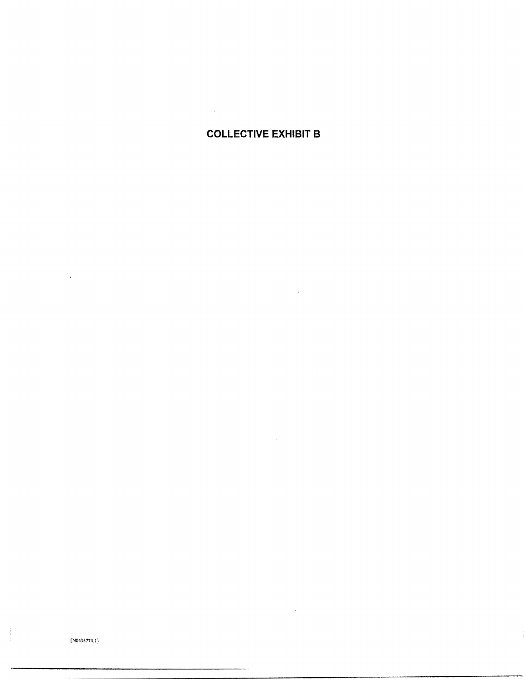## **COLLECTIVE EXHIBIT B**

 $\bar{\mathbf{r}}$ 

 $\sim$ 

 $\sim 10^{-10}$ 

 $( N0435774.1 )$ 

 $\frac{1}{2}$  , and  $\frac{1}{2}$ 

 $\hat{\mathbf{v}}$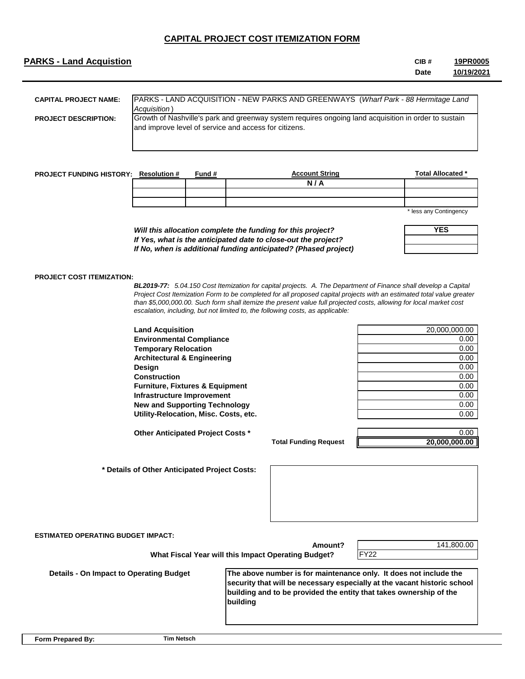## **PARKS - Land Acquistion CIB #**

#### **Date 19PR0005 10/19/2021**

| <b>CAPITAL PROJECT NAME:</b> | <b>PARKS - LAND ACQUISITION - NEW PARKS AND GREENWAYS (Wharf Park - 88 Hermitage Land</b><br>Acquisition)                                                     |
|------------------------------|---------------------------------------------------------------------------------------------------------------------------------------------------------------|
| <b>PROJECT DESCRIPTION:</b>  | Growth of Nashville's park and greenway system requires ongoing land acquisition in order to sustain<br>and improve level of service and access for citizens. |
|                              |                                                                                                                                                               |

| <b>PROJECT FUNDING HISTORY:</b> | <b>Resolution #</b> | Fund # | <b>Account String</b> | <b>Total Allocated *</b> |
|---------------------------------|---------------------|--------|-----------------------|--------------------------|
|                                 |                     |        | N/A                   |                          |
|                                 |                     |        |                       |                          |
|                                 |                     |        |                       |                          |
|                                 |                     |        |                       | * loce any Contingency   |

any Contingency

|  | <b>YES</b> |  |
|--|------------|--|
|  |            |  |
|  |            |  |

## *If Yes, what is the anticipated date to close-out the project? If No, when is additional funding anticipated? (Phased project)*

*Will this allocation complete the funding for this project?*

### **PROJECT COST ITEMIZATION:**

*BL2019-77: 5.04.150 Cost Itemization for capital projects. A. The Department of Finance shall develop a Capital Project Cost Itemization Form to be completed for all proposed capital projects with an estimated total value greater than \$5,000,000.00. Such form shall itemize the present value full projected costs, allowing for local market cost escalation, including, but not limited to, the following costs, as applicable:*

**Land Acquisition** 20,000,000.00 **Environmental Compliance** 0.00 **Temporary Relocation** 0.00 **Architectural & Engineering** 0.00 **Design** 0.00 **Construction** 0.00 **Furniture, Fixtures & Equipment** 0.00 0.00 **Infrastructure Improvement** 0.00 **New and Supporting Technology** 0.00 **Utility-Relocation, Misc. Costs, etc.** 0.00

**Other Anticipated Project Costs \*** 0.00

**Total Funding Request**

**20,000,000.00**

 **\* Details of Other Anticipated Project Costs:** 

| <b>ESTIMATED OPERATING BUDGET IMPACT:</b>      | Amount?<br>What Fiscal Year will this Impact Operating Budget?                                                                                                                                                                  | 141,800.00<br><b>FY22</b> |
|------------------------------------------------|---------------------------------------------------------------------------------------------------------------------------------------------------------------------------------------------------------------------------------|---------------------------|
| <b>Details - On Impact to Operating Budget</b> | The above number is for maintenance only. It does not include the<br>security that will be necessary especially at the vacant historic school<br>building and to be provided the entity that takes ownership of the<br>building |                           |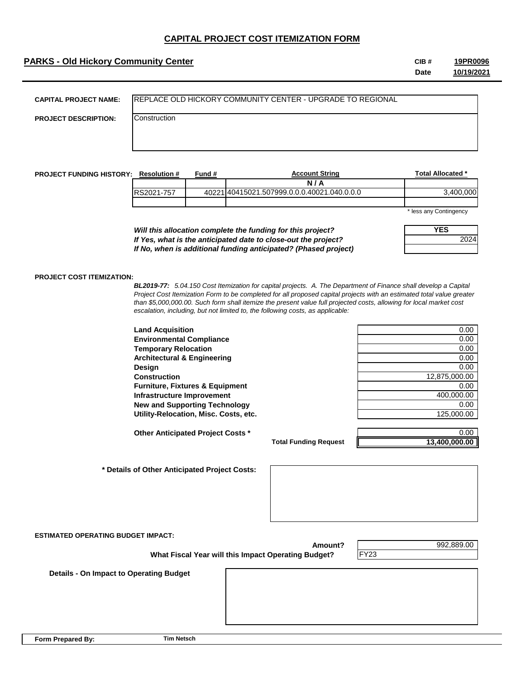## **PARKS - Old Hickory Community Center CIB #** CIB #

**Date 19PR0096 10/19/2021**

| <b>CAPITAL PROJECT NAME:</b> | <b>IREPLACE OLD HICKORY COMMUNITY CENTER - UPGRADE TO REGIONAL</b> |
|------------------------------|--------------------------------------------------------------------|
| <b>PROJECT DESCRIPTION:</b>  | Construction                                                       |
|                              |                                                                    |
|                              |                                                                    |

| <b>PROJECT FUNDING HISTORY:</b> | <b>Resolution #</b> | Fund # | <b>Account String</b>                       | Total Allocated *        |
|---------------------------------|---------------------|--------|---------------------------------------------|--------------------------|
|                                 |                     |        | N/A                                         |                          |
|                                 | RS2021-757          |        | 40221140415021.507999.0.0.0.40021.040.0.0.0 | 3.400.000                |
|                                 |                     |        |                                             |                          |
|                                 |                     |        |                                             | $*$ less seu Cestissessu |

less any Contingency

**YES**

2024

*Will this allocation complete the funding for this project? If Yes, what is the anticipated date to close-out the project? If No, when is additional funding anticipated? (Phased project)*

#### **PROJECT COST ITEMIZATION:**

*BL2019-77: 5.04.150 Cost Itemization for capital projects. A. The Department of Finance shall develop a Capital Project Cost Itemization Form to be completed for all proposed capital projects with an estimated total value greater than \$5,000,000.00. Such form shall itemize the present value full projected costs, allowing for local market cost escalation, including, but not limited to, the following costs, as applicable:*

**Land Acquisition Environmental Compliance Temporary Relocation Architectural & Engineering Design** 0.00 **Construction Furniture, Fixtures & Equipment Infrastructure Improvement New and Supporting Technology Utility-Relocation, Misc. Costs, etc.** 

**Other Anticipated Project Costs \*** 0.00

 **\* Details of Other Anticipated Project Costs:** 

| 0.00          |
|---------------|
| 0.00          |
| 0.00          |
| 0.00          |
| 0.00          |
| 12,875,000.00 |
| 0.00          |
| 400,000.00    |
| 0.00          |
|               |
| 125,000.00    |

**Total Funding Request**

**13,400,000.00**

**ESTIMATED OPERATING BUDGET IMPACT:**

**Amount?**

FY23

992,889.00

 **What Fiscal Year will this Impact Operating Budget?**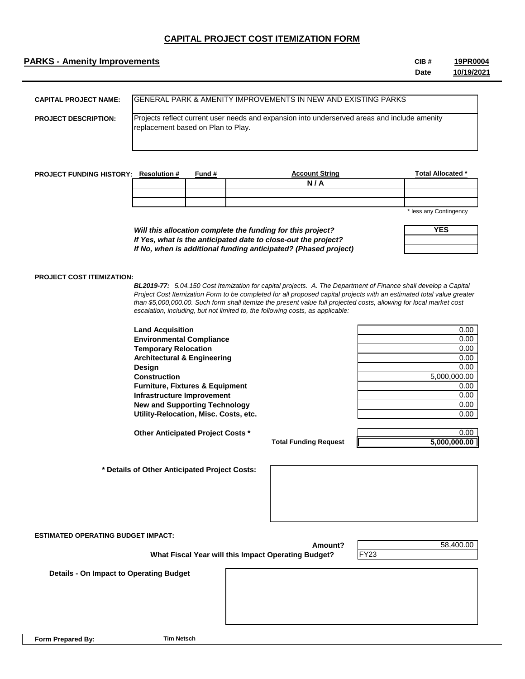### **PARKS - Amenity Improvements CIB #**

**Date 19PR0004 10/19/2021**

| <b>CAPITAL PROJECT NAME:</b> | <b>IGENERAL PARK &amp; AMENITY IMPROVEMENTS IN NEW AND EXISTING PARKS</b>                                                          |
|------------------------------|------------------------------------------------------------------------------------------------------------------------------------|
| <b>PROJECT DESCRIPTION:</b>  | Projects reflect current user needs and expansion into underserved areas and include amenity<br>replacement based on Plan to Play. |

| <b>PROJECT FUNDING HISTORY:</b> | <b>Resolution #</b> | Fund # | <b>Account String</b> | <b>Total Allocated *</b> |
|---------------------------------|---------------------|--------|-----------------------|--------------------------|
|                                 |                     |        | N/A                   |                          |
|                                 |                     |        |                       |                          |
|                                 |                     |        |                       |                          |
|                                 |                     |        |                       | * less any Contingency   |

*Will this allocation complete the funding for this project? If Yes, what is the anticipated date to close-out the project? If No, when is additional funding anticipated? (Phased project)* any Contingency

| YES |  |
|-----|--|
|     |  |
|     |  |

#### **PROJECT COST ITEMIZATION:**

*BL2019-77: 5.04.150 Cost Itemization for capital projects. A. The Department of Finance shall develop a Capital Project Cost Itemization Form to be completed for all proposed capital projects with an estimated total value greater than \$5,000,000.00. Such form shall itemize the present value full projected costs, allowing for local market cost escalation, including, but not limited to, the following costs, as applicable:*

**Land Acquisition** 0.00 **Environmental Compliance** 0.00 **Temporary Relocation** 0.00 **Architectural & Engineering 2.000 and 2.000 and 2.000 and 2.000 and 2.000 and 2.000 and 2.000 and 2.000 and 2.000 and 2.000 and 2.000 and 2.000 and 2.000 and 2.000 and 2.000 and 2.000 and 2.000 and 2.000 and 2.000 and 2.0 Design** 0.00 **Construction** 5,000,000.00 **Furniture, Fixtures & Equipment** 0.00 **Infrastructure Improvement** 0.00 **New and Supporting Technology 6.000 and Supporting Technology 6.000 and Supporting Technology 6.000 and Supporting Technology 6.000 and Supporting Technology 6.000 and Supporting Technology 6.000 and Supporting Technology Utility-Relocation, Misc. Costs, etc.** 0.00

**Other Anticipated Project Costs \*** 0.00

**Total Funding Request**

**5,000,000.00**

 **\* Details of Other Anticipated Project Costs:** 

**ESTIMATED OPERATING BUDGET IMPACT:**

**Amount?**

FY23

58,400.00

 **What Fiscal Year will this Impact Operating Budget?**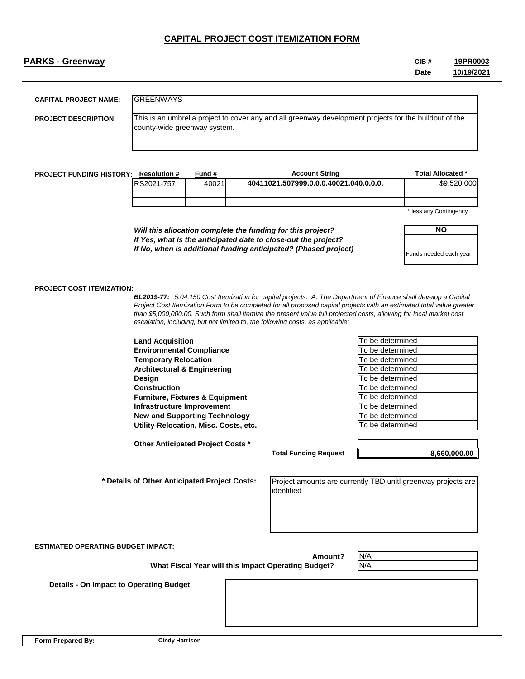## **PARKS - Greenway CIB #**

**Date 19PR0003 10/19/2021**

| <b>CAPITAL PROJECT NAME:</b> | <b>IGREENWAYS</b>                                                                                                                      |
|------------------------------|----------------------------------------------------------------------------------------------------------------------------------------|
| <b>PROJECT DESCRIPTION:</b>  | This is an umbrella project to cover any and all greenway development projects for the buildout of the<br>county-wide greenway system. |

| <b>PROJECT FUNDING HISTORY:</b> | <b>Resolution #</b> | Tund # | <b>Account String</b>                  | Total Allocated * |
|---------------------------------|---------------------|--------|----------------------------------------|-------------------|
|                                 | RS2021-757          | 40021  | 40411021.507999.0.0.0.40021.040.0.0.0. | .000<br>\$9.520   |
|                                 |                     |        |                                        |                   |
|                                 |                     |        |                                        |                   |
|                                 |                     |        |                                        |                   |

\* less any Contingency

*Will this allocation complete the funding for this project? If Yes, what is the anticipated date to close-out the project? If No, when is additional funding anticipated? (Phased project)*

| NΟ                     |
|------------------------|
|                        |
| Funds needed each year |

#### **PROJECT COST ITEMIZATION:**

*BL2019-77: 5.04.150 Cost Itemization for capital projects. A. The Department of Finance shall develop a Capital Project Cost Itemization Form to be completed for all proposed capital projects with an estimated total value greater than \$5,000,000.00. Such form shall itemize the present value full projected costs, allowing for local market cost escalation, including, but not limited to, the following costs, as applicable:*

**Land Acquisition The acquisition The accuracy in the accuracy of the accuracy in the accuracy of the accuracy of the accuracy of the accuracy of the accuracy of the accuracy of the accuracy of the accuracy of the accu Environmental Compliance** To be determined **Temporary Relocation** Temporary Relocation **Temporary Relocation Architectural & Engineering To be determined To be determined Design** To be determined **Construction Construction Construction Furniture, Fixtures & Equipment** To be determined **Infrastructure Improvement** To be determined **New and Supporting Technology To be determined To be determined Utility-Relocation, Misc. Costs, etc.** To be determined

**Other Anticipated Project Costs \***

**Total Funding Request**

**8,660,000.00**

 **\* Details of Other Anticipated Project Costs:** 

Project amounts are currently TBD unitl greenway projects are identified

**ESTIMATED OPERATING BUDGET IMPACT:**

 **What Fiscal Year will this Impact Operating Budget?**

N/A

 **Details - On Impact to Operating Budget**

**Form Prepared By:**

**Amount?**

N/A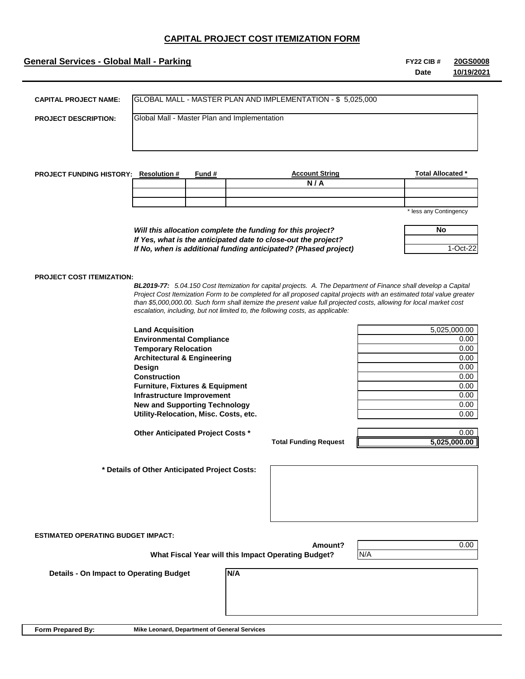## **General Services - Global Mall - Parking <b>FY22 CIB #** FY22 CIB #

**Date 20GS0008 10/19/2021**

| <b>CAPITAL PROJECT NAME:</b>                 |                                               |        | GLOBAL MALL - MASTER PLAN AND IMPLEMENTATION - \$5,025,000                                                                                                                                                                                                                                                                     |                          |
|----------------------------------------------|-----------------------------------------------|--------|--------------------------------------------------------------------------------------------------------------------------------------------------------------------------------------------------------------------------------------------------------------------------------------------------------------------------------|--------------------------|
| <b>PROJECT DESCRIPTION:</b>                  |                                               |        | Global Mall - Master Plan and Implementation                                                                                                                                                                                                                                                                                   |                          |
|                                              |                                               |        |                                                                                                                                                                                                                                                                                                                                |                          |
|                                              |                                               |        |                                                                                                                                                                                                                                                                                                                                |                          |
|                                              |                                               |        |                                                                                                                                                                                                                                                                                                                                |                          |
| <b>PROJECT FUNDING HISTORY: Resolution #</b> |                                               | Fund # | <b>Account String</b>                                                                                                                                                                                                                                                                                                          | <b>Total Allocated *</b> |
|                                              |                                               |        | N/A                                                                                                                                                                                                                                                                                                                            |                          |
|                                              |                                               |        |                                                                                                                                                                                                                                                                                                                                |                          |
|                                              |                                               |        |                                                                                                                                                                                                                                                                                                                                | * less any Contingency   |
|                                              |                                               |        |                                                                                                                                                                                                                                                                                                                                |                          |
|                                              |                                               |        | Will this allocation complete the funding for this project?                                                                                                                                                                                                                                                                    | No                       |
|                                              |                                               |        | If Yes, what is the anticipated date to close-out the project?                                                                                                                                                                                                                                                                 |                          |
|                                              |                                               |        | If No, when is additional funding anticipated? (Phased project)                                                                                                                                                                                                                                                                | 1-Oct-22                 |
|                                              |                                               |        | Project Cost Itemization Form to be completed for all proposed capital projects with an estimated total value greater<br>than \$5,000,000.00. Such form shall itemize the present value full projected costs, allowing for local market cost<br>escalation, including, but not limited to, the following costs, as applicable: |                          |
|                                              | <b>Land Acquisition</b>                       |        |                                                                                                                                                                                                                                                                                                                                | 5,025,000.00             |
|                                              | <b>Environmental Compliance</b>               |        |                                                                                                                                                                                                                                                                                                                                | 0.00                     |
|                                              | <b>Temporary Relocation</b>                   |        |                                                                                                                                                                                                                                                                                                                                | 0.00                     |
|                                              | <b>Architectural &amp; Engineering</b>        |        |                                                                                                                                                                                                                                                                                                                                | 0.00                     |
|                                              | Design<br><b>Construction</b>                 |        |                                                                                                                                                                                                                                                                                                                                | 0.00<br>0.00             |
|                                              | <b>Furniture, Fixtures &amp; Equipment</b>    |        |                                                                                                                                                                                                                                                                                                                                | 0.00                     |
|                                              | Infrastructure Improvement                    |        |                                                                                                                                                                                                                                                                                                                                | 0.00                     |
|                                              | <b>New and Supporting Technology</b>          |        |                                                                                                                                                                                                                                                                                                                                | 0.00                     |
|                                              | Utility-Relocation, Misc. Costs, etc.         |        |                                                                                                                                                                                                                                                                                                                                | 0.00                     |
|                                              | Other Anticipated Project Costs *             |        |                                                                                                                                                                                                                                                                                                                                | 0.00                     |
|                                              |                                               |        | <b>Total Funding Request</b>                                                                                                                                                                                                                                                                                                   | 5,025,000.00             |
|                                              |                                               |        |                                                                                                                                                                                                                                                                                                                                |                          |
|                                              | * Details of Other Anticipated Project Costs: |        |                                                                                                                                                                                                                                                                                                                                |                          |

**ESTIMATED OPERATING BUDGET IMPACT:**

**Amount?**

0.00

 **What Fiscal Year will this Impact Operating Budget?**

**N/A**

 **Details - On Impact to Operating Budget**

N/A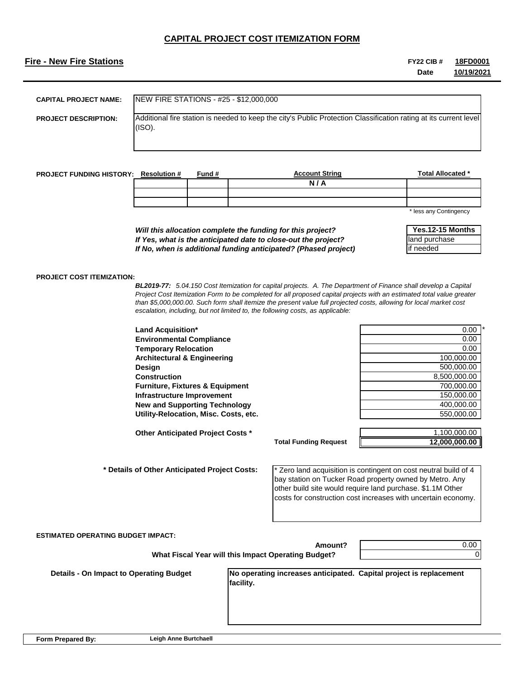## **Fire - New Fire Stations FY22 CIB #**

**Date 18FD0001 10/19/2021**

| <b>CAPITAL PROJECT NAME:</b> | NEW FIRE STATIONS - #25 - \$12,000,000                                                                                       |
|------------------------------|------------------------------------------------------------------------------------------------------------------------------|
| <b>PROJECT DESCRIPTION:</b>  | Additional fire station is needed to keep the city's Public Protection Classification rating at its current level<br>I(ISO). |
|                              |                                                                                                                              |

| <b>PROJECT FUNDING HISTORY:</b> | <b>Resolution</b> # | Fund # | <b>Account String</b> | <b>Total Allocated *</b> |
|---------------------------------|---------------------|--------|-----------------------|--------------------------|
|                                 |                     |        | N/<br>1 A             |                          |
|                                 |                     |        |                       |                          |
|                                 |                     |        |                       |                          |
|                                 |                     |        |                       | $*$ laga any Cantingnany |

less any Contingency

*Will this allocation complete the funding for this project? If Yes, what is the anticipated date to close-out the project? If No, when is additional funding anticipated? (Phased project)*

| Yes.12-15 Months |
|------------------|
| land purchase    |
| if needed        |

#### **PROJECT COST ITEMIZATION:**

*BL2019-77: 5.04.150 Cost Itemization for capital projects. A. The Department of Finance shall develop a Capital Project Cost Itemization Form to be completed for all proposed capital projects with an estimated total value greater than \$5,000,000.00. Such form shall itemize the present value full projected costs, allowing for local market cost escalation, including, but not limited to, the following costs, as applicable:*

| <b>Land Acquisition*</b>                   | 0.00         |
|--------------------------------------------|--------------|
| <b>Environmental Compliance</b>            | 0.00         |
| <b>Temporary Relocation</b>                | 0.00         |
| <b>Architectural &amp; Engineering</b>     | 100.000.00   |
| Design                                     | 500,000.00   |
| <b>Construction</b>                        | 8,500,000.00 |
| <b>Furniture, Fixtures &amp; Equipment</b> | 700.000.00   |
| Infrastructure Improvement                 | 150,000.00   |
| <b>New and Supporting Technology</b>       | 400.000.00   |
| Utility-Relocation, Misc. Costs, etc.      | 550,000,00   |

\* **Construction** 8,500,000.00 **Infrastructure Improvement** 150,000.00 **New and Supporting Technology** 400,000.00

**Other Anticipated Project Costs \*** 1,100,000.00

 **What Fiscal Year will this Impact Operating Budget?**

 **\* Details of Other Anticipated Project Costs:** 

\* Zero land acquisition is contingent on cost neutral build of 4 bay station on Tucker Road property owned by Metro. Any other build site would require land purchase. \$1.1M Other costs for construction cost increases with uncertain economy.

**Amount?**

**Total Funding Request**

0.00  $\Omega$ 

**12,000,000.00**

 **Details - On Impact to Operating Budget**

**No operating increases anticipated. Capital project is replacement facility.**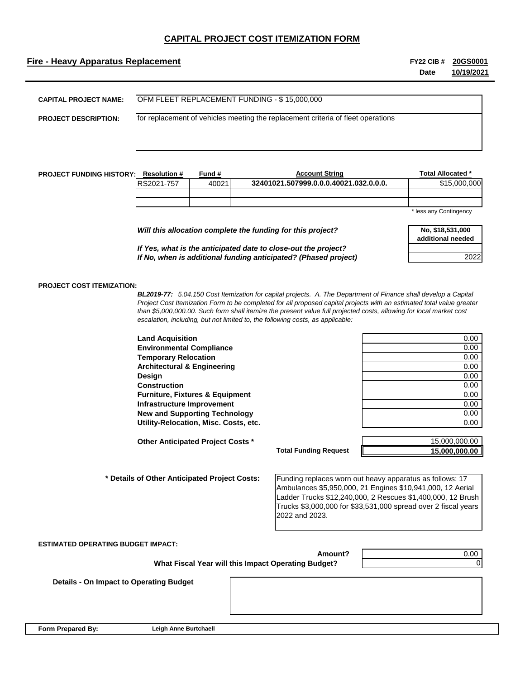## **Fire - Heavy Apparatus Replacement FY22 CIB #**

**Date 20GS0001 10/19/2021**

| <b>CAPITAL PROJECT NAME:</b> | OFM FLEET REPLACEMENT FUNDING - \$15,000,000                                     |
|------------------------------|----------------------------------------------------------------------------------|
| <b>PROJECT DESCRIPTION:</b>  | for replacement of vehicles meeting the replacement criteria of fleet operations |
|                              |                                                                                  |

| <b>PROJECT FUNDING HISTORY:</b> | <b>Resolution #</b> | Fund # | <b>Account String</b>                  | Total Allocated *      |
|---------------------------------|---------------------|--------|----------------------------------------|------------------------|
|                                 | RS2021-757          | 40021  | 32401021.507999.0.0.0.40021.032.0.0.0. | \$15,000,000           |
|                                 |                     |        |                                        |                        |
|                                 |                     |        |                                        |                        |
|                                 |                     |        |                                        | * less any Contingency |

| Will this allocation complete the funding for this project?     | No. \$18,531,000<br>additional needed |
|-----------------------------------------------------------------|---------------------------------------|
| If Yes, what is the anticipated date to close-out the project?  |                                       |
| If No, when is additional funding anticipated? (Phased project) | 2022                                  |

#### **PROJECT COST ITEMIZATION:**

*BL2019-77: 5.04.150 Cost Itemization for capital projects. A. The Department of Finance shall develop a Capital Project Cost Itemization Form to be completed for all proposed capital projects with an estimated total value greater than \$5,000,000.00. Such form shall itemize the present value full projected costs, allowing for local market cost escalation, including, but not limited to, the following costs, as applicable:*

| <b>Land Acquisition</b>                    | 0.00 |
|--------------------------------------------|------|
| <b>Environmental Compliance</b>            | 0.00 |
| <b>Temporary Relocation</b>                | 0.00 |
| <b>Architectural &amp; Engineering</b>     | 0.00 |
| Design                                     | 0.00 |
| Construction                               | 0.00 |
| <b>Furniture, Fixtures &amp; Equipment</b> | 0.00 |
| Infrastructure Improvement                 | 0.00 |
| <b>New and Supporting Technology</b>       | 0.00 |
| Utility-Relocation, Misc. Costs, etc.      | 0.00 |
|                                            |      |

**Total Funding Request**

**Amount?**

**Other Anticipated Project Costs \*** 15,000,000.00 **15,000,000.00**

 **\* Details of Other Anticipated Project Costs:** 

> Funding replaces worn out heavy apparatus as follows: 17 Ambulances \$5,950,000, 21 Engines \$10,941,000, 12 Aerial Ladder Trucks \$12,240,000, 2 Rescues \$1,400,000, 12 Brush Trucks \$3,000,000 for \$33,531,000 spread over 2 fiscal years 2022 and 2023.

**ESTIMATED OPERATING BUDGET IMPACT:**

 **What Fiscal Year will this Impact Operating Budget?**

0.00  $\Omega$ 

 **Details - On Impact to Operating Budget**

**Form Prepared By:**

**Leigh Anne Burtchaell**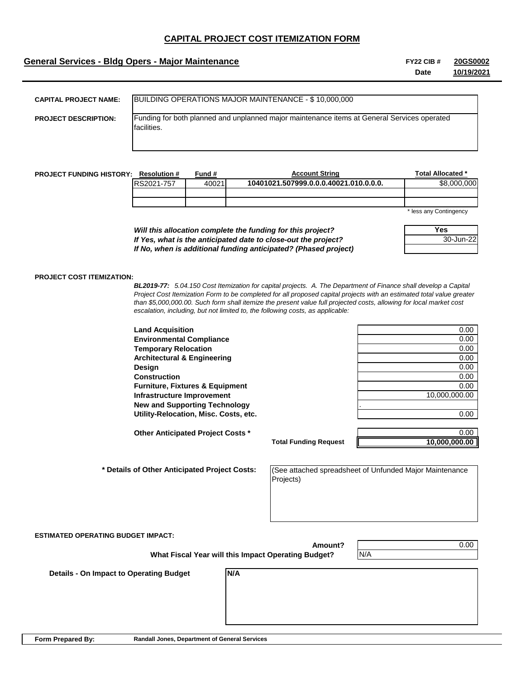## **General Services - Bldg Opers - Major Maintenance FY22 CIB #**

**Date 20GS0002 10/19/2021**

| <b>CAPITAL PROJECT NAME:</b> | BUILDING OPERATIONS MAJOR MAINTENANCE - \$10,000,000                                                       |
|------------------------------|------------------------------------------------------------------------------------------------------------|
| <b>PROJECT DESCRIPTION:</b>  | Funding for both planned and unplanned major maintenance items at General Services operated<br>facilities. |

| <b>PROJECT FUNDING HISTORY:</b> | <b>Resolution #</b> | Fund # | <b>Account String</b>                  | Total Allocated *      |
|---------------------------------|---------------------|--------|----------------------------------------|------------------------|
|                                 | RS2021-757          | 40021  | 10401021.507999.0.0.0.40021.010.0.0.0. | \$8,000,000            |
|                                 |                     |        |                                        |                        |
|                                 |                     |        |                                        |                        |
|                                 |                     |        |                                        | * less any Contingency |

*Will this allocation complete the funding for this project? If Yes, what is the anticipated date to close-out the project? If No, when is additional funding anticipated? (Phased project)* any Contingency

**Yes** 30-Jun-22

#### **PROJECT COST ITEMIZATION:**

*BL2019-77: 5.04.150 Cost Itemization for capital projects. A. The Department of Finance shall develop a Capital Project Cost Itemization Form to be completed for all proposed capital projects with an estimated total value greater than \$5,000,000.00. Such form shall itemize the present value full projected costs, allowing for local market cost escalation, including, but not limited to, the following costs, as applicable:*

| <b>Land Acquisition</b>                    | 0.00          |
|--------------------------------------------|---------------|
| <b>Environmental Compliance</b>            | 0.00          |
| <b>Temporary Relocation</b>                | 0.00          |
| <b>Architectural &amp; Engineering</b>     | 0.00          |
| <b>Design</b>                              | 0.00          |
| <b>Construction</b>                        | 0.00          |
| <b>Furniture, Fixtures &amp; Equipment</b> | 0.00          |
| Infrastructure Improvement                 | 10,000,000.00 |
| <b>New and Supporting Technology</b>       |               |
| Utility-Relocation, Misc. Costs, etc.      | 0.00          |

 **\* Details of Other Anticipated Project Costs:** 

**Total Funding Request**

**Other Anticipated Project Costs \*** 0.00 **10,000,000.00**

**Infrastructure Improvement** 10,000,000.00

(See attached spreadsheet of Unfunded Major Maintenance Projects)

**ESTIMATED OPERATING BUDGET IMPACT:**

**Amount? What Fiscal Year will this Impact Operating Budget?**

**N/A**

N/A

0.00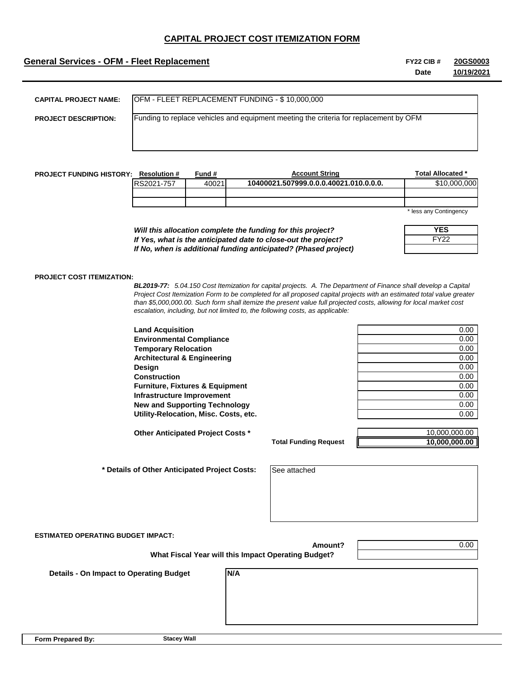## **General Services - OFM - Fleet Replacement FY22 CIB #**

**Date 20GS0003 10/19/2021**

| <b>CAPITAL PROJECT NAME:</b> | OFM - FLEET REPLACEMENT FUNDING - \$10,000,000                                        |
|------------------------------|---------------------------------------------------------------------------------------|
| <b>PROJECT DESCRIPTION:</b>  | Funding to replace vehicles and equipment meeting the criteria for replacement by OFM |
|                              |                                                                                       |
|                              |                                                                                       |

| <b>PROJECT FUNDING HISTORY:</b> | <b>Resolution #</b> | Fund # | <b>Account String</b>                  | Total Allocated *      |
|---------------------------------|---------------------|--------|----------------------------------------|------------------------|
|                                 | RS2021-757          | 40021  | 10400021.507999.0.0.0.40021.010.0.0.0. | \$10,000,000           |
|                                 |                     |        |                                        |                        |
|                                 |                     |        |                                        |                        |
|                                 |                     |        |                                        | * less any Contingency |

\* less any Contingency

| YES         |
|-------------|
| <b>FY22</b> |
|             |

*Will this allocation complete the funding for this project? If Yes, what is the anticipated date to close-out the project? If No, when is additional funding anticipated? (Phased project)*

#### **PROJECT COST ITEMIZATION:**

*BL2019-77: 5.04.150 Cost Itemization for capital projects. A. The Department of Finance shall develop a Capital Project Cost Itemization Form to be completed for all proposed capital projects with an estimated total value greater than \$5,000,000.00. Such form shall itemize the present value full projected costs, allowing for local market cost escalation, including, but not limited to, the following costs, as applicable:*

**Land Acquisition** 0.00 **Environmental Compliance** 0.00 **Temporary Relocation** 0.00 **Architectural & Engineering 2.000 and 2.000 and 2.000 and 2.000 and 2.000 and 2.000 and 2.000 and 2.000 and 2.000 and 2.000 and 2.000 and 2.000 and 2.000 and 2.000 and 2.000 and 2.000 and 2.000 and 2.000 and 2.000 and 2.0 Design** 0.00 **Construction** 0.00 **Furniture, Fixtures & Equipment** 0.00 0.00 **Infrastructure Improvement** 0.00 **New and Supporting Technology 6.000 and Supporting Technology 6.000 and Supporting Technology 6.000 and Supporting Technology 6.000 and Supporting Technology 6.000 and Supporting Technology 6.000 and Supporting Technology Utility-Relocation, Misc. Costs, etc.** 0.00

**Other Anticipated Project Costs \*** 10,000,000.00

 **\* Details of Other Anticipated Project Costs:** 

**Total Funding Request**

**Amount?**

**10,000,000.00**

See attached

**ESTIMATED OPERATING BUDGET IMPACT:**

 **What Fiscal Year will this Impact Operating Budget?**

**N/A**

0.00

 **Details - On Impact to Operating Budget**

**Form Prepared By:**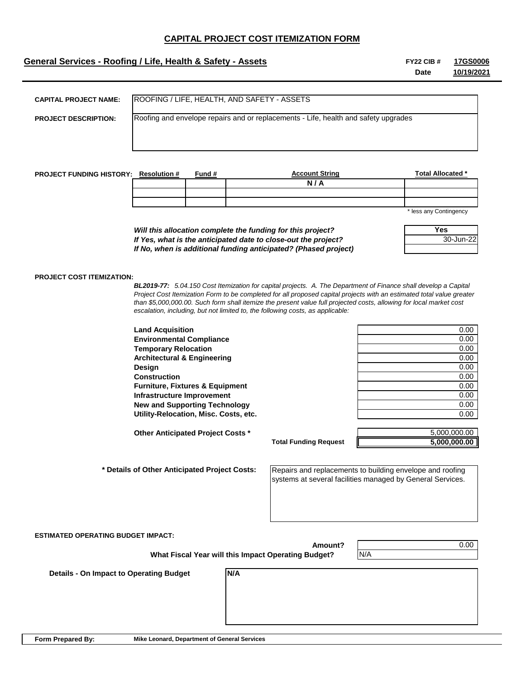## **General Services - Roofing / Life, Health & Safety - Assets FY22 CIB #** FY22 CIB #

**Date 17GS0006 10/19/2021**

| <b>CAPITAL PROJECT NAME:</b>                 |                                                                                     |        | ROOFING / LIFE, HEALTH, AND SAFETY - ASSETS                                                                           |                        |  |
|----------------------------------------------|-------------------------------------------------------------------------------------|--------|-----------------------------------------------------------------------------------------------------------------------|------------------------|--|
|                                              | Roofing and envelope repairs and or replacements - Life, health and safety upgrades |        |                                                                                                                       |                        |  |
| <b>PROJECT DESCRIPTION:</b>                  |                                                                                     |        |                                                                                                                       |                        |  |
|                                              |                                                                                     |        |                                                                                                                       |                        |  |
|                                              |                                                                                     |        |                                                                                                                       |                        |  |
|                                              |                                                                                     |        |                                                                                                                       |                        |  |
|                                              |                                                                                     |        |                                                                                                                       |                        |  |
| <b>PROJECT FUNDING HISTORY: Resolution #</b> |                                                                                     | Fund # | <b>Account String</b><br>N/A                                                                                          | Total Allocated *      |  |
|                                              |                                                                                     |        |                                                                                                                       |                        |  |
|                                              |                                                                                     |        |                                                                                                                       |                        |  |
|                                              |                                                                                     |        |                                                                                                                       | * less any Contingency |  |
|                                              |                                                                                     |        |                                                                                                                       |                        |  |
|                                              | <b>Yes</b><br>Will this allocation complete the funding for this project?           |        |                                                                                                                       |                        |  |
|                                              |                                                                                     |        | If Yes, what is the anticipated date to close-out the project?                                                        | 30-Jun-22              |  |
|                                              | If No, when is additional funding anticipated? (Phased project)                     |        |                                                                                                                       |                        |  |
|                                              |                                                                                     |        |                                                                                                                       |                        |  |
| <b>PROJECT COST ITEMIZATION:</b>             |                                                                                     |        |                                                                                                                       |                        |  |
|                                              |                                                                                     |        | BL2019-77: 5.04.150 Cost Itemization for capital projects. A. The Department of Finance shall develop a Capital       |                        |  |
|                                              |                                                                                     |        | Project Cost Itemization Form to be completed for all proposed capital projects with an estimated total value greater |                        |  |
|                                              |                                                                                     |        | than \$5,000,000.00. Such form shall itemize the present value full projected costs, allowing for local market cost   |                        |  |
|                                              |                                                                                     |        | escalation, including, but not limited to, the following costs, as applicable:                                        |                        |  |
|                                              | <b>Land Acquisition</b>                                                             |        |                                                                                                                       | 0.00                   |  |
|                                              | <b>Environmental Compliance</b>                                                     |        |                                                                                                                       | 0.00                   |  |
|                                              | <b>Temporary Relocation</b>                                                         |        |                                                                                                                       | 0.00                   |  |
|                                              | <b>Architectural &amp; Engineering</b>                                              |        |                                                                                                                       | 0.00                   |  |
|                                              | Design                                                                              |        |                                                                                                                       | 0.00                   |  |
|                                              | <b>Construction</b>                                                                 |        |                                                                                                                       | 0.00                   |  |
|                                              | <b>Furniture, Fixtures &amp; Equipment</b>                                          |        |                                                                                                                       | 0.00                   |  |
|                                              | Infrastructure Improvement                                                          |        |                                                                                                                       | 0.00                   |  |
|                                              | <b>New and Supporting Technology</b>                                                |        |                                                                                                                       | 0.00                   |  |
|                                              | Utility-Relocation, Misc. Costs, etc.                                               |        |                                                                                                                       | 0.00                   |  |

**Other Anticipated Project Costs \*** 5,000,000.00

 **\* Details of Other Anticipated Project Costs:** 

**Total Funding Request**

**Amount?**

**5,000,000.00**

Repairs and replacements to building envelope and roofing systems at several facilities managed by General Services.

N/A

**ESTIMATED OPERATING BUDGET IMPACT:**

 **What Fiscal Year will this Impact Operating Budget?**

**N/A**

0.00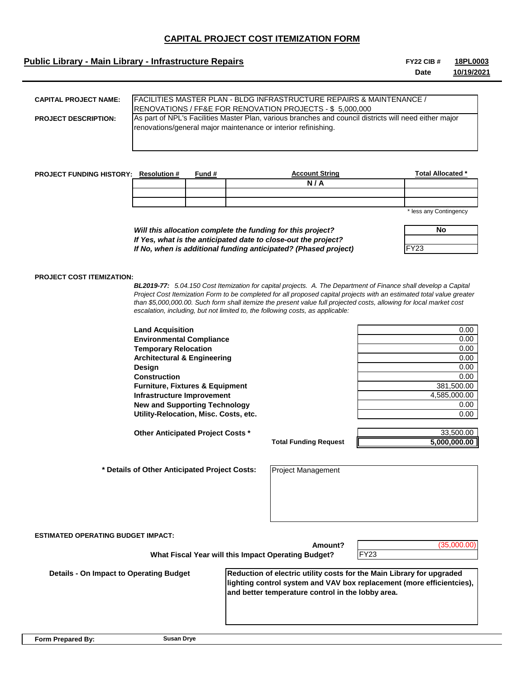## **Public Library - Main Library - Infrastructure Repairs FICE 2008 #** FY22 CIB #

| CAPITAL PROJECT NAME:       | <b>IFACILITIES MASTER PLAN - BLDG INFRASTRUCTURE REPAIRS &amp; MAINTENANCE /</b>                                                                                         |
|-----------------------------|--------------------------------------------------------------------------------------------------------------------------------------------------------------------------|
|                             | <b>IRENOVATIONS / FF&amp;E FOR RENOVATION PROJECTS - \$ 5,000,000</b>                                                                                                    |
| <b>PROJECT DESCRIPTION:</b> | As part of NPL's Facilities Master Plan, various branches and council districts will need either major<br>renovations/general major maintenance or interior refinishing. |
|                             |                                                                                                                                                                          |

| <b>PROJECT FUNDING HISTORY:</b> | <b>Resolution #</b> | Fund # | <b>Account String</b> | <b>Total Allocated *</b> |
|---------------------------------|---------------------|--------|-----------------------|--------------------------|
|                                 |                     |        | N<br>А                |                          |
|                                 |                     |        |                       |                          |
|                                 |                     |        |                       |                          |
|                                 |                     |        |                       | $\sim$ $\sim$<br>.       |

*Will this allocation complete the funding for this project? If Yes, what is the anticipated date to close-out the project? If No, when is additional funding anticipated? (Phased project)* less any Contingency

| No  |  |  |
|-----|--|--|
|     |  |  |
| 23' |  |  |

### **PROJECT COST ITEMIZATION:**

*BL2019-77: 5.04.150 Cost Itemization for capital projects. A. The Department of Finance shall develop a Capital Project Cost Itemization Form to be completed for all proposed capital projects with an estimated total value greater than \$5,000,000.00. Such form shall itemize the present value full projected costs, allowing for local market cost escalation, including, but not limited to, the following costs, as applicable:*

| <b>Land Acquisition</b>                    | 0.00         |
|--------------------------------------------|--------------|
| <b>Environmental Compliance</b>            | 0.00         |
| <b>Temporary Relocation</b>                | 0.00         |
| <b>Architectural &amp; Engineering</b>     | 0.00         |
| Design                                     | 0.00         |
| <b>Construction</b>                        | 0.00         |
| <b>Furniture, Fixtures &amp; Equipment</b> | 381.500.00   |
| Infrastructure Improvement                 | 4.585.000.00 |
| <b>New and Supporting Technology</b>       | 0.00         |
| Utility-Relocation, Misc. Costs, etc.      | 0.00         |

**Other Anticipated Project Costs \*** 33,500.00

 **\* Details of Other Anticipated Project Costs:** 

**Total Funding Request**

**5,000,000.00**

Project Management

| <b>ESTIMATED OPERATING BUDGET IMPACT:</b><br>(35,000.00)<br>Amount?<br><b>FY23</b><br>What Fiscal Year will this Impact Operating Budget? |                                                                                                                            |                                                                       |  |  |
|-------------------------------------------------------------------------------------------------------------------------------------------|----------------------------------------------------------------------------------------------------------------------------|-----------------------------------------------------------------------|--|--|
| <b>Details - On Impact to Operating Budget</b>                                                                                            | Reduction of electric utility costs for the Main Library for upgraded<br>and better temperature control in the lobby area. | lighting control system and VAV box replacement (more efficientcies), |  |  |

**Date 18PL0003 10/19/2021**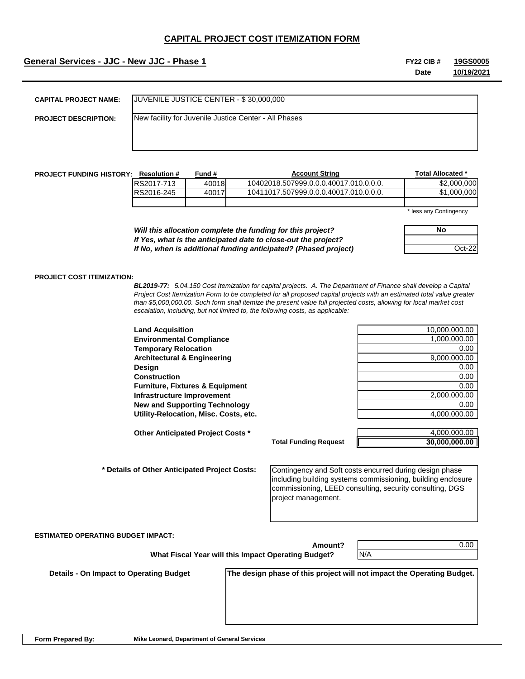## **General Services - JJC - New JJC - Phase 1 FY22 CIB # FY22 CIB # FY22 CIB #**

**Date 19GS0005 10/19/2021**

| <b>CAPITAL PROJECT NAME:</b> | JUVENILE JUSTICE CENTER - \$30,000,000                |
|------------------------------|-------------------------------------------------------|
| <b>PROJECT DESCRIPTION:</b>  | New facility for Juvenile Justice Center - All Phases |
|                              |                                                       |
|                              |                                                       |

| <b>PROJECT FUNDING HISTORY:</b> | <b>Resolution #</b> | -und # | <b>Account String</b>                  | Total Allocated * |
|---------------------------------|---------------------|--------|----------------------------------------|-------------------|
|                                 | RS2017-713          | 40018  | 10402018.507999.0.0.0.40017.010.0.0.0. | \$2,000,000       |
|                                 | RS2016-245          | 40017  | 10411017.507999.0.0.0.40017.010.0.0.0. | 000.000.          |
|                                 |                     |        |                                        |                   |

*Will this allocation complete the funding for this project? If Yes, what is the anticipated date to close-out the project? If No, when is additional funding anticipated? (Phased project)* \* less any Contingency

**No** Oct-22

#### **PROJECT COST ITEMIZATION:**

*BL2019-77: 5.04.150 Cost Itemization for capital projects. A. The Department of Finance shall develop a Capital Project Cost Itemization Form to be completed for all proposed capital projects with an estimated total value greater than \$5,000,000.00. Such form shall itemize the present value full projected costs, allowing for local market cost escalation, including, but not limited to, the following costs, as applicable:*

**Total Funding Request**

**Land Acquisition** 10,000,000.00 **Environmental Compliance** 1,000,000.00 **Temporary Relocation** 0.00 **Architectural & Engineering 8,000,000.00 and 1.000 and 1.000 and 1.000 and 1.000 and 1.000 and 1.000 and 1.000 Design** 0.00 **Construction** 0.00 **Furniture, Fixtures & Equipment** 0.00 **Infrastructure Improvement** 2,000,000.00 **New and Supporting Technology** 0.00 Utility-Relocation, Misc. Costs, etc. **According to the Control of the Cost of A**,000,000.00

**Other Anticipated Project Costs \*** 4,000,000.00

 **\* Details of Other Anticipated Project Costs:** 

Contingency and Soft costs encurred during design phase including building systems commissioning, building enclosure commissioning, LEED consulting, security consulting, DGS project management.

#### **ESTIMATED OPERATING BUDGET IMPACT:**

 **What Fiscal Year will this Impact Operating Budget?**

**Amount?**

0.00

**30,000,000.00**

 **Details - On Impact to Operating Budget**

**The design phase of this project will not impact the Operating Budget.** 

N/A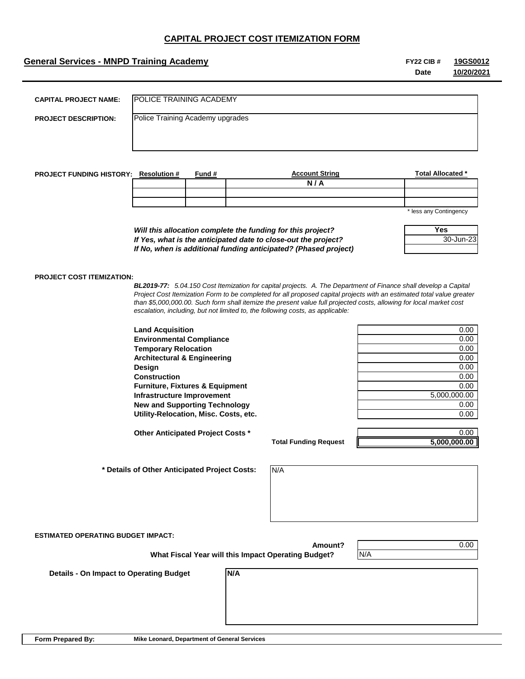## **General Services - MNPD Training Academy FY22 CIB #** FY22 CIB #

**Date 19GS0012 10/20/2021**

| <b>CAPITAL PROJECT NAME:</b>                 | POLICE TRAINING ACADEMY          |               |                       |                          |
|----------------------------------------------|----------------------------------|---------------|-----------------------|--------------------------|
| <b>PROJECT DESCRIPTION:</b>                  | Police Training Academy upgrades |               |                       |                          |
|                                              |                                  |               |                       |                          |
|                                              |                                  |               |                       |                          |
| <b>PROJECT FUNDING HISTORY: Resolution #</b> |                                  | <u>Fund #</u> | <b>Account String</b> | <b>Total Allocated *</b> |
|                                              |                                  |               | N/A                   |                          |
|                                              |                                  |               |                       |                          |

less any Contingency

**Yes**

30-Jun-23

| Will this allocation complete the funding for this project?     |  |
|-----------------------------------------------------------------|--|
| If Yes, what is the anticipated date to close-out the project?  |  |
| If No, when is additional funding anticipated? (Phased project) |  |

#### **PROJECT COST ITEMIZATION:**

*BL2019-77: 5.04.150 Cost Itemization for capital projects. A. The Department of Finance shall develop a Capital Project Cost Itemization Form to be completed for all proposed capital projects with an estimated total value greater than \$5,000,000.00. Such form shall itemize the present value full projected costs, allowing for local market cost escalation, including, but not limited to, the following costs, as applicable:*

| <b>Land Acquisition</b>                    | 0.00         |
|--------------------------------------------|--------------|
| <b>Environmental Compliance</b>            | 0.00         |
| <b>Temporary Relocation</b>                | 0.00         |
| <b>Architectural &amp; Engineering</b>     | 0.00         |
| Design                                     | 0.00         |
| <b>Construction</b>                        | 0.00         |
| <b>Furniture, Fixtures &amp; Equipment</b> | 0.00         |
| Infrastructure Improvement                 | 5,000,000.00 |
| <b>New and Supporting Technology</b>       | 0.00         |
| Utility-Relocation, Misc. Costs, etc.      | 0.00         |

**Other Anticipated Project Costs \*** 0.00

 **\* Details of Other Anticipated Project Costs:** 

**Infrastructure Improvement** 5,000,000.00

**Total Funding Request**

**5,000,000.00**

0.00

N/A

**ESTIMATED OPERATING BUDGET IMPACT:**

**Amount? What Fiscal Year will this Impact Operating Budget?**

**N/A**

N/A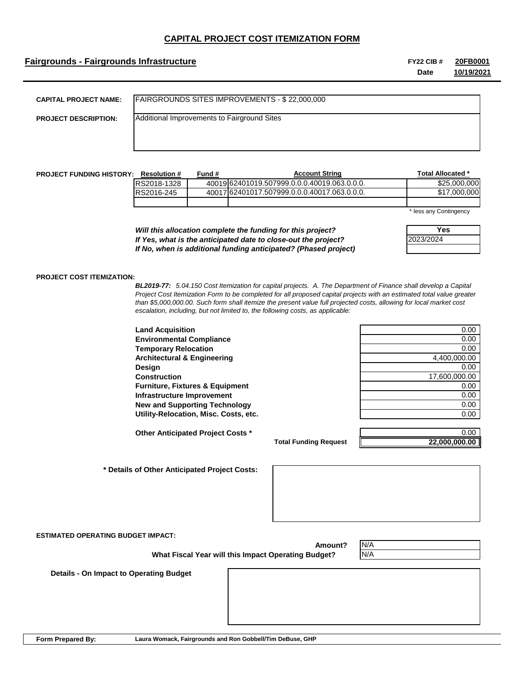## **Fairgrounds - Fairgrounds Infrastructure FY22 CIB #**

**Date 20FB0001 10/19/2021**

| <b>CAPITAL PROJECT NAME:</b> | FAIRGROUNDS SITES IMPROVEMENTS - \$22,000,000 |
|------------------------------|-----------------------------------------------|
| <b>PROJECT DESCRIPTION:</b>  | Additional Improvements to Fairground Sites   |
|                              |                                               |

| <b>PROJECT FUNDING HISTORY:</b> | <b>Resolution #</b> | Fund # | <b>Account String</b>                        |     | Total Allocated * |
|---------------------------------|---------------------|--------|----------------------------------------------|-----|-------------------|
|                                 | RS2018-1328         |        | 40019162401019.507999.0.0.0.40019.063.0.0.0. |     | \$25,000,000      |
|                                 | RS2016-245          |        | 40017162401017.507999.0.0.0.40017.063.0.0.0. |     | \$17,000,000      |
|                                 |                     |        |                                              |     |                   |
|                                 |                     |        |                                              | . . | $\sim$ $\sim$     |

\* less any Contingency

*Will this allocation complete the funding for this project? If Yes, what is the anticipated date to close-out the project? If No, when is additional funding anticipated? (Phased project)*

| Yes       |
|-----------|
| 2023/2024 |
|           |

#### **PROJECT COST ITEMIZATION:**

*BL2019-77: 5.04.150 Cost Itemization for capital projects. A. The Department of Finance shall develop a Capital Project Cost Itemization Form to be completed for all proposed capital projects with an estimated total value greater than \$5,000,000.00. Such form shall itemize the present value full projected costs, allowing for local market cost escalation, including, but not limited to, the following costs, as applicable:*

**Land Acquisition Environmental Compliance Temporary Relocation Architectural & Engineering Design** 0.00 **Construction Furniture, Fixtures & Equipment Infrastructure Improvement New and Supporting Technology Utility-Relocation, Misc. Costs, etc.** 

**Other Anticipated Project Costs \*** 0.00

| 0.00          |
|---------------|
| 0.00          |
| 0.00          |
| 4,400,000.00  |
| 0.00          |
| 17,600,000.00 |
| 0.00          |
| 0.00          |
| 0.00          |
| 0.00          |
|               |

**Total Funding Request**

**22,000,000.00**

 **\* Details of Other Anticipated Project Costs:** 

**ESTIMATED OPERATING BUDGET IMPACT:**

**Amount?**

N/A N/A

 **Details - On Impact to Operating Budget**

 **What Fiscal Year will this Impact Operating Budget?**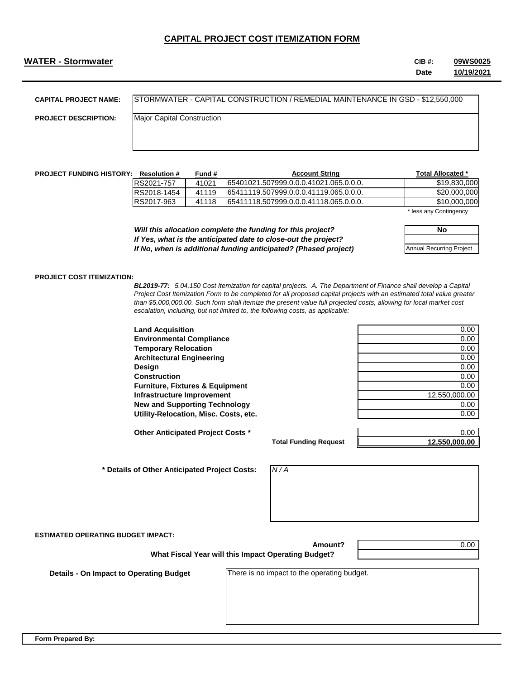## **WATER - Stormwater CIB #:**

**Date 09WS0025 10/19/2021**

| CAPITAL PROJECT NAME:       | STORMWATER - CAPITAL CONSTRUCTION / REMEDIAL MAINTENANCE IN GSD - \$12,550,000 |
|-----------------------------|--------------------------------------------------------------------------------|
| <b>PROJECT DESCRIPTION:</b> | Major Capital Construction                                                     |
|                             |                                                                                |
|                             |                                                                                |

| <b>PROJECT FUNDING HISTORY:</b> | <b>Resolution #</b> | Fund # | <b>Account String</b>                   |     | Total Allocated * |
|---------------------------------|---------------------|--------|-----------------------------------------|-----|-------------------|
|                                 | RS2021-757          | 41021  | 165401021.507999.0.0.0.41021.065.0.0.0. |     | \$19,830,000      |
|                                 | RS2018-1454         | 41119  | 65411119.507999.0.0.0.41119.065.0.0.0.  |     | \$20,000,000      |
|                                 | RS2017-963          | 41118  | 165411118.507999.0.0.0.41118.065.0.0.0. |     | \$10,000,000      |
|                                 |                     |        |                                         | . . | - -               |

\* less any Contingency

**No**

Annual Recurring Project

*Will this allocation complete the funding for this project? If Yes, what is the anticipated date to close-out the project? If No, when is additional funding anticipated? (Phased project)*

#### **PROJECT COST ITEMIZATION:**

*BL2019-77: 5.04.150 Cost Itemization for capital projects. A. The Department of Finance shall develop a Capital Project Cost Itemization Form to be completed for all proposed capital projects with an estimated total value greater than \$5,000,000.00. Such form shall itemize the present value full projected costs, allowing for local market cost escalation, including, but not limited to, the following costs, as applicable:*

| <b>Land Acquisition</b>                    | 0.00          |
|--------------------------------------------|---------------|
| <b>Environmental Compliance</b>            | 0.00          |
| <b>Temporary Relocation</b>                | 0.00          |
| <b>Architectural Engineering</b>           | 0.00          |
| Design                                     | 0.00          |
| <b>Construction</b>                        | 0.00          |
| <b>Furniture, Fixtures &amp; Equipment</b> | 0.00          |
| Infrastructure Improvement                 | 12,550,000.00 |
| <b>New and Supporting Technology</b>       | 0.00          |
| Utility-Relocation, Misc. Costs, etc.      | 0.00          |

**Other Anticipated Project Costs \*** 0.00 **1.000 1.000 1.000 1.000 1.000 1.000 1.000 1.000 1.000 1.000 1.000 1.000 1.000 1.000 1.000 1.000 1.000 1.000 1.000 1.000 1.000 1.000 1.000 1.000 1.000 1.000 1.000 1.000 1.000 1.000** 

 **\* Details of Other Anticipated Project Costs:** 

**Infrastructure Improvement** 12,550,000.00

**Total Funding Request**

**12,550,000.00**

*N / A*

**ESTIMATED OPERATING BUDGET IMPACT:**

 **What Fiscal Year will this Impact Operating Budget?**

0.00

**n Impact to Operating Budget** 

There is no impact to the operating budget.

**Amount?**

**Form Prepared By:**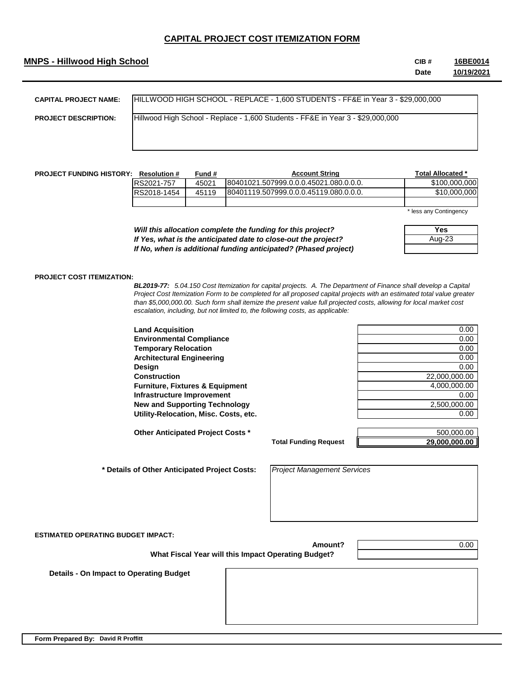## **MNPS - Hillwood High School CIB #**

**Date 16BE0014 10/19/2021**

| <b>CAPITAL PROJECT NAME:</b> | HILLWOOD HIGH SCHOOL - REPLACE - 1,600 STUDENTS - FF&E in Year 3 - \$29,000,000 |
|------------------------------|---------------------------------------------------------------------------------|
| <b>PROJECT DESCRIPTION:</b>  | Hillwood High School - Replace - 1,600 Students - FF&E in Year 3 - \$29,000,000 |
|                              |                                                                                 |

| <b>PROJECT FUNDING HISTORY:</b> | <b>Resolution #</b> | Fund # | <b>Account String</b>                  | Total Allocated * |
|---------------------------------|---------------------|--------|----------------------------------------|-------------------|
|                                 | RS2021-757          | 45021  | 80401021.507999.0.0.0.45021.080.0.0.0. | \$100,000,000     |
|                                 | RS2018-1454         | 45119  | 80401119.507999.0.0.0.45119.080.0.0.0. | \$10,000,000      |
|                                 |                     |        |                                        |                   |

\* less any Contingency

**Yes** Aug-23

*Will this allocation complete the funding for this project? If Yes, what is the anticipated date to close-out the project? If No, when is additional funding anticipated? (Phased project)*

#### **PROJECT COST ITEMIZATION:**

*BL2019-77: 5.04.150 Cost Itemization for capital projects. A. The Department of Finance shall develop a Capital Project Cost Itemization Form to be completed for all proposed capital projects with an estimated total value greater than \$5,000,000.00. Such form shall itemize the present value full projected costs, allowing for local market cost escalation, including, but not limited to, the following costs, as applicable:*

**Land Acquisition** 0.00 **Environmental Compliance** 0.00 **Temporary Relocation** 0.00 **Architectural Engineering 2.000 and 2.000 and 2.000 and 2.000 and 2.000 and 2.000 and 2.000 and 2.000 and 2.000 and 2.000 and 2.000 and 2.000 and 2.000 and 2.000 and 2.000 and 2.000 and 2.000 and 2.000 and 2.000 and 2.000 Design** 0.00 **Construction** 22,000,000.00 **Furniture, Fixtures & Equipment** 4,000,000.00 **Infrastructure Improvement** 0.00 **New and Supporting Technology** 2,500,000.00 **Utility-Relocation, Misc. Costs, etc.** 0.00

**Other Anticipated Project Costs \*** 500,000.00

 **\* Details of Other Anticipated Project Costs:** 

*Project Management Services*

**Total Funding Request**

**ESTIMATED OPERATING BUDGET IMPACT:**

**Amount?**

0.00

**29,000,000.00**

 **What Fiscal Year will this Impact Operating Budget?**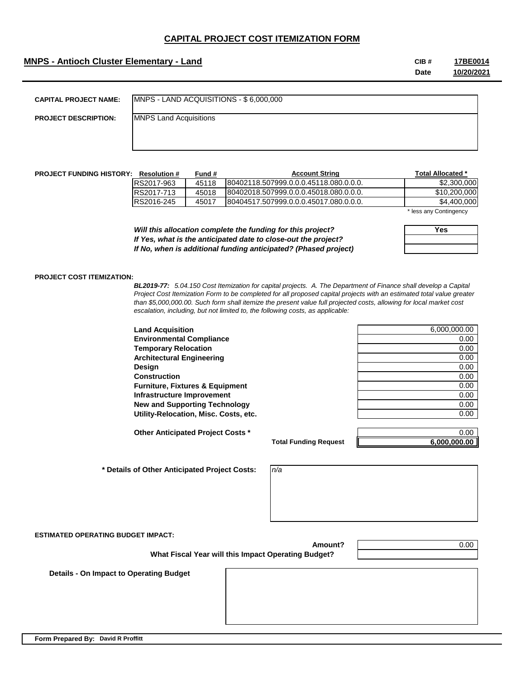## **MNPS - Antioch Cluster Elementary - Land CIB #**

**Date 17BE0014 10/20/2021**

| <b>CAPITAL PROJECT NAME:</b> | MNPS - LAND ACQUISITIONS - \$ 6,000,000 |
|------------------------------|-----------------------------------------|
| <b>PROJECT DESCRIPTION:</b>  | <b>MNPS Land Acquisitions</b>           |
|                              |                                         |

| <b>PROJECT FUNDING HISTORY:</b> | <b>Resolution #</b> | Fund # | <b>Account String</b>                   |     | Total Allocated * |
|---------------------------------|---------------------|--------|-----------------------------------------|-----|-------------------|
|                                 | RS2017-963          | 45118  | 80402118.507999.0.0.0.45118.080.0.0.0.  |     | \$2,300,000       |
|                                 | RS2017-713          | 45018  | 180402018.507999.0.0.0.45018.080.0.0.0. |     | \$10,200,000      |
|                                 | RS2016-245          | 45017  | 180404517.507999.0.0.0.45017.080.0.0.0. |     | \$4,400,000       |
|                                 |                     |        |                                         | . . |                   |

\* less any Contingency

**Yes**

*Will this allocation complete the funding for this project? If Yes, what is the anticipated date to close-out the project? If No, when is additional funding anticipated? (Phased project)*

 **What Fiscal Year will this Impact Operating Budget?**

#### **PROJECT COST ITEMIZATION:**

*BL2019-77: 5.04.150 Cost Itemization for capital projects. A. The Department of Finance shall develop a Capital Project Cost Itemization Form to be completed for all proposed capital projects with an estimated total value greater than \$5,000,000.00. Such form shall itemize the present value full projected costs, allowing for local market cost escalation, including, but not limited to, the following costs, as applicable:*

**Land Acquisition Environmental Compliance Temporary Relocation Architectural Engineering Design** 0.00 **Construction Furniture, Fixtures & Equipment Infrastructure Improvement New and Supporting Technology Utility-Relocation, Misc. Costs, etc.** 

**Other Anticipated Project Costs \*** 0.00

 **\* Details of Other Anticipated Project Costs:** 

| 6,000,000.00 |
|--------------|
| 0.00         |
| 0.00         |
| 0.00         |
| 0.00         |
| 0.00         |
| 0.00         |
| 0.00         |
| 0.00         |
| 0.00         |

**Total Funding Request**

**6,000,000.00**

*n/a*

**ESTIMATED OPERATING BUDGET IMPACT:**

**Amount?**

0.00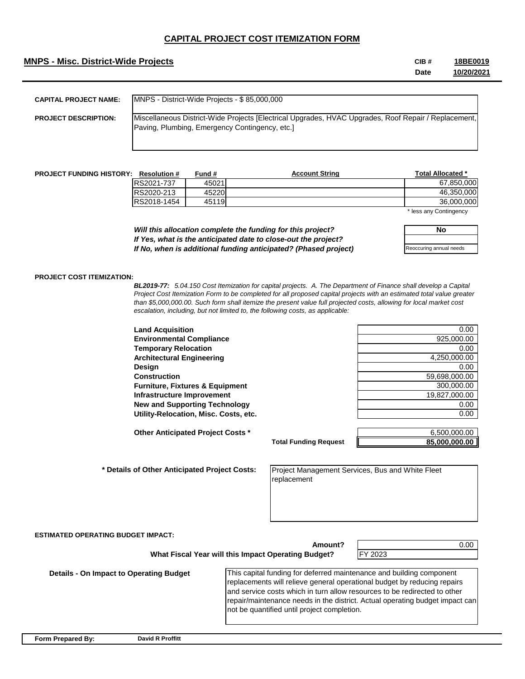## **MNPS - Misc. District-Wide Projects CIB #**

**Date 18BE0019 10/20/2021**

| <b>CAPITAL PROJECT NAME:</b> | IMNPS - District-Wide Projects - \$85,000,000                                                                                                          |
|------------------------------|--------------------------------------------------------------------------------------------------------------------------------------------------------|
| <b>PROJECT DESCRIPTION:</b>  | Miscellaneous District-Wide Projects [Electrical Upgrades, HVAC Upgrades, Roof Repair / Replacement,<br>Paving, Plumbing, Emergency Contingency, etc.] |

| <b>PROJECT FUNDING HISTORY:</b> | <b>Resolution #</b> | Fund # | <b>Account String</b> | Total Allocated *                                                         |
|---------------------------------|---------------------|--------|-----------------------|---------------------------------------------------------------------------|
|                                 | <b>IRS2021-737</b>  | 45021  |                       | 67.850.000                                                                |
|                                 | <b>RS2020-213</b>   | 45220  |                       | 46.350.000                                                                |
|                                 | RS2018-1454         | 45119  |                       | 36,000,000                                                                |
|                                 |                     |        |                       | $\bullet$ Is a substant $\bullet$ substant and solve the set of $\bullet$ |

less any Contingency

*Will this allocation complete the funding for this project? If Yes, what is the anticipated date to close-out the project? If No, when is additional funding anticipated? (Phased project)* **No** Reoccuring annual needs

#### **PROJECT COST ITEMIZATION:**

*BL2019-77: 5.04.150 Cost Itemization for capital projects. A. The Department of Finance shall develop a Capital Project Cost Itemization Form to be completed for all proposed capital projects with an estimated total value greater than \$5,000,000.00. Such form shall itemize the present value full projected costs, allowing for local market cost escalation, including, but not limited to, the following costs, as applicable:*

**Land Acquisition** 0.00 **Environmental Compliance** 925,000.00 **Temporary Relocation** 0.00 **Architectural Engineering** 4,250,000.00 **Design** 0.00 **Construction** 59,698,000.00 **Furniture, Fixtures & Equipment** 300,000.00 **Infrastructure Improvement** 19,827,000.00 **New and Supporting Technology 6.000 and Supporting Technology 6.000 and Supporting Technology 6.000 and Supporting Technology 6.000 and Supporting Technology 6.000 and Supporting Technology 6.000 and Supporting Technology Utility-Relocation, Misc. Costs, etc.** 0.00

**Other Anticipated Project Costs \***  $\qquad \qquad$  6,500,000.00

 **\* Details of Other Anticipated Project Costs:** 

**Total Funding Request**

**85,000,000.00**

Project Management Services, Bus and White Fleet replacement

**ESTIMATED OPERATING BUDGET IMPACT:**

**Amount? What Fiscal Year will this Impact Operating Budget?**

0.00

 **Details - On Impact to Operating Budget**

This capital funding for deferred maintenance and building component replacements will relieve general operational budget by reducing repairs and service costs which in turn allow resources to be redirected to other repair/maintenance needs in the district. Actual operating budget impact can not be quantified until project completion.

FY 2023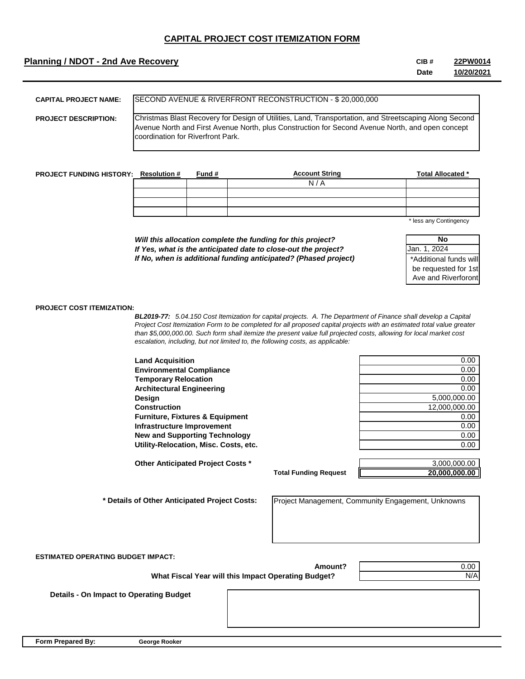## **Planning / NDOT - 2nd Ave Recovery CIB #**

**Date 22PW0014 10/20/2021**

| <b>CAPITAL PROJECT NAME:</b> | ISECOND AVENUE & RIVERFRONT RECONSTRUCTION - \$20,000,000                                                                                                                                                                                               |
|------------------------------|---------------------------------------------------------------------------------------------------------------------------------------------------------------------------------------------------------------------------------------------------------|
| <b>PROJECT DESCRIPTION:</b>  | Christmas Blast Recovery for Design of Utilities, Land, Transportation, and Streetscaping Along Second<br>Avenue North and First Avenue North, plus Construction for Second Avenue North, and open concept<br><b>Icoordination for Riverfront Park.</b> |

| <b>PROJECT FUNDING HISTORY: Resolution #</b> | Fund # | <b>Account String</b> | <b>Total Allocated *</b> |
|----------------------------------------------|--------|-----------------------|--------------------------|
|                                              |        | N/<br>$\overline{P}$  |                          |
|                                              |        |                       |                          |
|                                              |        |                       |                          |
|                                              |        |                       |                          |

\* less any Contingency

*Will this allocation complete the funding for this project? If Yes, what is the anticipated date to close-out the project? If No, when is additional funding anticipated? (Phased project)*

| Nο                     |
|------------------------|
| Jan. 1. 2024           |
| *Additional funds will |
| be requested for 1st   |
| Ave and Riverforont    |

#### **PROJECT COST ITEMIZATION:**

*BL2019-77: 5.04.150 Cost Itemization for capital projects. A. The Department of Finance shall develop a Capital Project Cost Itemization Form to be completed for all proposed capital projects with an estimated total value greater than \$5,000,000.00. Such form shall itemize the present value full projected costs, allowing for local market cost escalation, including, but not limited to, the following costs, as applicable:*

| <b>Land Acquisition</b>                    | 0.00          |
|--------------------------------------------|---------------|
| <b>Environmental Compliance</b>            | 0.00          |
| <b>Temporary Relocation</b>                | 0.00          |
| <b>Architectural Engineering</b>           | 0.00          |
| Design                                     | 5,000,000.00  |
| <b>Construction</b>                        | 12,000,000.00 |
| <b>Furniture, Fixtures &amp; Equipment</b> | 0.00          |
| Infrastructure Improvement                 | 0.00          |
| <b>New and Supporting Technology</b>       | 0.00          |
| Utility-Relocation, Misc. Costs, etc.      | 0.00          |
|                                            |               |
| Other Anticipated Project Costs *          | 3,000,000.00  |

**Total Funding Request**

**Amount?**

| 3.000.000.00  |
|---------------|
| 20,000,000.00 |

Project Management, Community Engagement, Unknowns

**ESTIMATED OPERATING BUDGET IMPACT:**

 **What Fiscal Year will this Impact Operating Budget?**

0.00 N/A

 **Details - On Impact to Operating Budget**

**Form Prepared By: George Rooker**

 **\* Details of Other Anticipated Project Costs:**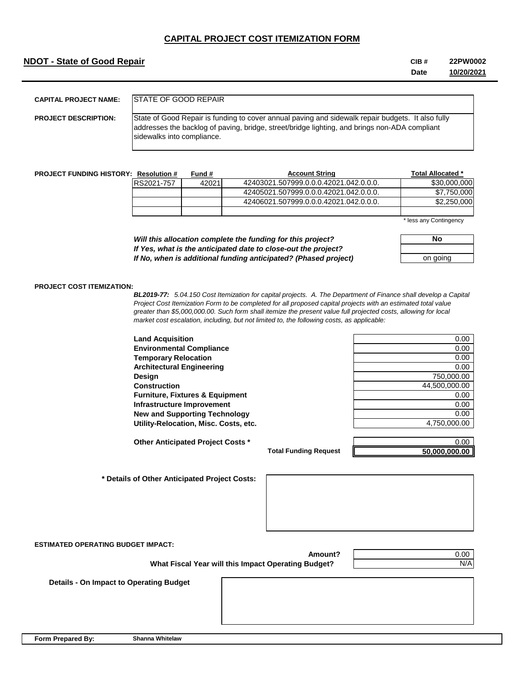## **NDOT - State of Good Repair CIB #**

#### **Date 22PW0002 10/20/2021**

| <b>CAPITAL PROJECT NAME:</b> | <b>ISTATE OF GOOD REPAIR</b>                                                                                                                                                                                                     |
|------------------------------|----------------------------------------------------------------------------------------------------------------------------------------------------------------------------------------------------------------------------------|
| <b>PROJECT DESCRIPTION:</b>  | State of Good Repair is funding to cover annual paving and sidewalk repair budgets. It also fully<br>addresses the backlog of paving, bridge, street/bridge lighting, and brings non-ADA compliant<br>sidewalks into compliance. |

| <b>PROJECT FUNDING HISTORY: Resolution #</b> |            | Fund # | <b>Account String</b>                  | Total Allocated * |
|----------------------------------------------|------------|--------|----------------------------------------|-------------------|
|                                              | RS2021-757 | 42021  | 42403021.507999.0.0.0.42021.042.0.0.0. | \$30,000,000      |
|                                              |            |        | 42405021.507999.0.0.0.42021.042.0.0.0. | \$7.750,000       |
|                                              |            |        | 42406021.507999.0.0.0.42021.042.0.0.0. | \$2,250,000       |
|                                              |            |        |                                        |                   |

\* less any Contingency

*Will this allocation complete the funding for this project? If Yes, what is the anticipated date to close-out the project? If No, when is additional funding anticipated? (Phased project)*

| No       |  |
|----------|--|
|          |  |
| on going |  |

#### **PROJECT COST ITEMIZATION:**

*BL2019-77: 5.04.150 Cost Itemization for capital projects. A. The Department of Finance shall develop a Capital Project Cost Itemization Form to be completed for all proposed capital projects with an estimated total value greater than \$5,000,000.00. Such form shall itemize the present value full projected costs, allowing for local market cost escalation, including, but not limited to, the following costs, as applicable:*

**Land Acquisition** 0.00 **Environmental Compliance 0.00 COMPLIANCE 10 <b>COMPLIANCE 10 COMPLIANCE 10 COMPLIANCE 10 COMPLIANCE 10 COMPLIANCE 10 COMPLIANCE 10 COMPLIANCE 10 COMPLIANCE 10 COMPLIANCE 10 COMPLIANCE 10 COMPLIANCE 1 Temporary Relocation CONSIDERING CONSIDERING CONSIDERING CONSIDERING CONSIDERING CONSIDERING CONSIDERING CONSIDERING CONSIDERING CONSIDERING CONSIDERING CONSIDERING CONSIDERING CONSIDERING CONSIDERING CONSIDERING CONSID Architectural Engineering** 0.00 **Design** 750,000.00 **Construction** 44,500,000.00 **Furniture, Fixtures & Equipment** 0.00 **Infrastructure Improvement** 0.00 **New and Supporting Technology 6.000 and Supporting Technology 6.000 and Supporting Technology 6.000 and Supporting Technology 6.000 and Supporting Technology 6.000 and Supporting Technology 6.000 and Supporting Technology** 

Utility-Relocation, Misc. Costs, etc. 4,750,000.00

**Other Anticipated Project Costs \*** 0.00 **1.000 1.000 1.000 1.000 1.000 1.000 1.000 1.000 1.000 1.000 1.000 1.000 1.000 1.000 1.000 1.000 1.000 1.000 1.000 1.000 1.000 1.000 1.000 1.000 1.000 1.000 1.000 1.000 1.000 1.000** 

**Total Funding Request**

**50,000,000.00**

 **\* Details of Other Anticipated Project Costs:** 



**ESTIMATED OPERATING BUDGET IMPACT:**

 **What Fiscal Year will this Impact Operating Budget?**

0.00 N/A

 **Details - On Impact to Operating Budget**

**Form Prepared By: Shanna Whitelaw**

**Amount?**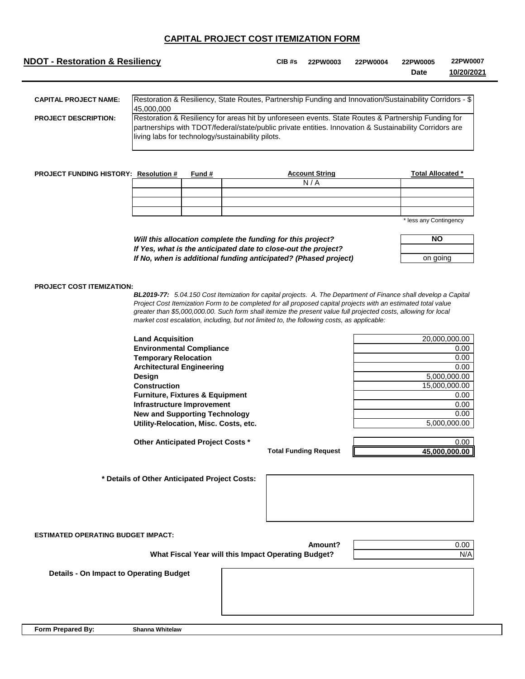| <b>NDOT - Restoration &amp; Resiliency</b> |                                                                                                                                                                                                                                                                     | $CIB$ #s | 22PW0003 | 22PW0004 | 22PW0005<br>Date | 22PW0007<br>10/20/2021 |
|--------------------------------------------|---------------------------------------------------------------------------------------------------------------------------------------------------------------------------------------------------------------------------------------------------------------------|----------|----------|----------|------------------|------------------------|
| <b>CAPITAL PROJECT NAME:</b>               | Restoration & Resiliency, State Routes, Partnership Funding and Innovation/Sustainability Corridors - \$<br>45,000,000                                                                                                                                              |          |          |          |                  |                        |
| <b>PROJECT DESCRIPTION:</b>                | Restoration & Resiliency for areas hit by unforeseen events. State Routes & Partnership Funding for<br>partnerships with TDOT/federal/state/public private entities. Innovation & Sustainability Corridors are<br>living labs for technology/sustainability pilots. |          |          |          |                  |                        |

| <b>PROJECT FUNDING HISTORY: Resolution #</b> | Fund # | <b>Account String</b> | Total Allocated *      |
|----------------------------------------------|--------|-----------------------|------------------------|
|                                              |        | N/A                   |                        |
|                                              |        |                       |                        |
|                                              |        |                       |                        |
|                                              |        |                       |                        |
|                                              |        |                       | * loca any Contingency |

ss any Contingency

| NΟ       |  |
|----------|--|
|          |  |
| on going |  |

**Land Acquisition** 20,000,000.00

## *Will this allocation complete the funding for this project? If Yes, what is the anticipated date to close-out the project? If No, when is additional funding anticipated? (Phased project)*

### **PROJECT COST ITEMIZATION:**

*BL2019-77: 5.04.150 Cost Itemization for capital projects. A. The Department of Finance shall develop a Capital Project Cost Itemization Form to be completed for all proposed capital projects with an estimated total value greater than \$5,000,000.00. Such form shall itemize the present value full projected costs, allowing for local market cost escalation, including, but not limited to, the following costs, as applicable:*

| <b>Land Acquisition</b>                    | 20,000,000.00 |
|--------------------------------------------|---------------|
| <b>Environmental Compliance</b>            | 0.00          |
| <b>Temporary Relocation</b>                | 0.00          |
| <b>Architectural Engineering</b>           | 0.00          |
| Design                                     | 5,000,000.00  |
| <b>Construction</b>                        | 15,000,000.00 |
| <b>Furniture, Fixtures &amp; Equipment</b> | 0.00          |
| Infrastructure Improvement                 | 0.00          |
| <b>New and Supporting Technology</b>       | 0.00          |
| Utility-Relocation, Misc. Costs, etc.      | 5.000.000.00  |
| Other Anticipated Project Costs *          | 0.00          |
|                                            |               |

| 0.00          |
|---------------|
| 0.00          |
| 0.00          |
| 5,000,000.00  |
| 15,000,000.00 |
| 0.00          |
| 0.00          |
| 0.00          |
| 5,000,000.00  |
|               |

**Total Funding Request**

**45,000,000.00**

 **\* Details of Other Anticipated Project Costs:** 

| s: |  |  |  |
|----|--|--|--|
|    |  |  |  |
|    |  |  |  |
|    |  |  |  |

**Amount?**

**ESTIMATED OPERATING BUDGET IMPACT:**

 **What Fiscal Year will this Impact Operating Budget?**

0.00 N/A

 **Details - On Impact to Operating Budget**

**Form Prepared By: Shanna Whitelaw**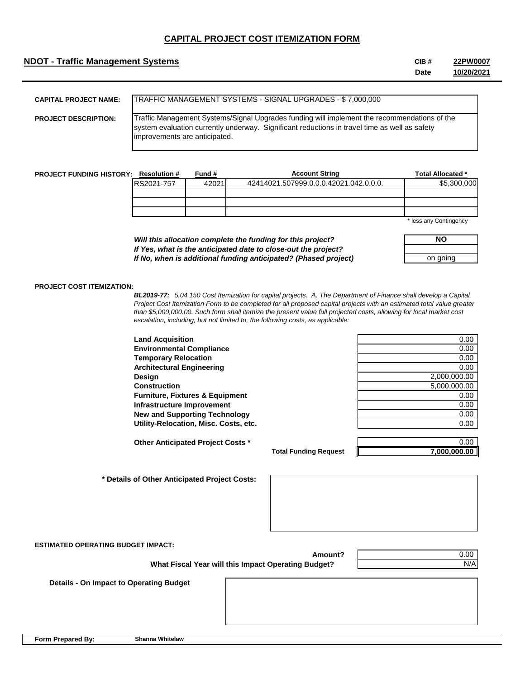## **NDOT - Traffic Management Systems CIB #**

**Date 22PW0007 10/20/2021**

| <b>CAPITAL PROJECT NAME:</b> | TRAFFIC MANAGEMENT SYSTEMS - SIGNAL UPGRADES - \$ 7,000,000                                                                                                                                                                    |
|------------------------------|--------------------------------------------------------------------------------------------------------------------------------------------------------------------------------------------------------------------------------|
| <b>PROJECT DESCRIPTION:</b>  | Traffic Management Systems/Signal Upgrades funding will implement the recommendations of the<br>system evaluation currently underway. Significant reductions in travel time as well as safety<br>improvements are anticipated. |

| <b>PROJECT FUNDING HISTORY:</b> | <b>Resolution #</b> | Fund # | <b>Account String</b>                  | <b>Total Allocated *</b> |
|---------------------------------|---------------------|--------|----------------------------------------|--------------------------|
|                                 | RS2021-757          | 42021  | 42414021.507999.0.0.0.42021.042.0.0.0. | \$5,300,000              |
|                                 |                     |        |                                        |                          |
|                                 |                     |        |                                        |                          |
|                                 |                     |        |                                        |                          |
|                                 |                     |        |                                        | * loca any Contingency   |

less any Contingency

| Will this allocation complete the funding for this project?     |
|-----------------------------------------------------------------|
| If Yes, what is the anticipated date to close-out the project?  |
| If No, when is additional funding anticipated? (Phased project) |

| <b>NO</b> |  |
|-----------|--|
|           |  |
| on going  |  |

### **PROJECT COST ITEMIZATION:**

*BL2019-77: 5.04.150 Cost Itemization for capital projects. A. The Department of Finance shall develop a Capital Project Cost Itemization Form to be completed for all proposed capital projects with an estimated total value greater than \$5,000,000.00. Such form shall itemize the present value full projected costs, allowing for local market cost escalation, including, but not limited to, the following costs, as applicable:*

| <b>Land Acquisition</b>                    | 0.00         |
|--------------------------------------------|--------------|
| <b>Environmental Compliance</b>            | 0.00         |
| <b>Temporary Relocation</b>                | 0.00         |
| <b>Architectural Engineering</b>           | 0.00         |
| Design                                     | 2,000,000.00 |
| <b>Construction</b>                        | 5,000,000.00 |
| <b>Furniture, Fixtures &amp; Equipment</b> | 0.00         |
| Infrastructure Improvement                 | 0.00         |
| <b>New and Supporting Technology</b>       | 0.00         |
| Utility-Relocation, Misc. Costs, etc.      | 0.00         |
| Other Anticipated Project Costs *          | 0.00         |

**Total Funding Request**

**7,000,000.00**

 **\* Details of Other Anticipated Project Costs:** 

**ESTIMATED OPERATING BUDGET IMPACT:**

**Amount? What Fiscal Year will this Impact Operating Budget?**

0.00 N/A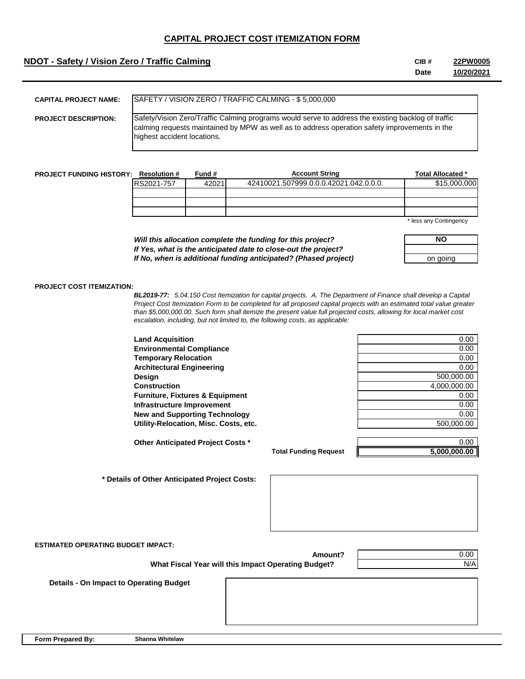## **NDOT - Safety / Vision Zero / Traffic Calming <b>CIB #** CIB #

**Date 22PW0005 10/20/2021**

| <b>CAPITAL PROJECT NAME:</b> | SAFETY / VISION ZERO / TRAFFIC CALMING - \$ 5,000,000                                                                                                                                                                              |
|------------------------------|------------------------------------------------------------------------------------------------------------------------------------------------------------------------------------------------------------------------------------|
| <b>PROJECT DESCRIPTION:</b>  | Safety/Vision Zero/Traffic Calming programs would serve to address the existing backlog of traffic<br>calming requests maintained by MPW as well as to address operation safety improvements in the<br>highest accident locations. |

| <b>PROJECT FUNDING HISTORY:</b> | <b>Resolution #</b> | Fund # | <b>Account String</b>                  | <b>Total Allocated *</b> |
|---------------------------------|---------------------|--------|----------------------------------------|--------------------------|
|                                 | RS2021-757          | 42021  | 42410021.507999.0.0.0.42021.042.0.0.0. | \$15,000,000             |
|                                 |                     |        |                                        |                          |
|                                 |                     |        |                                        |                          |
|                                 |                     |        |                                        |                          |
|                                 |                     |        |                                        | $*$ loss any Contingency |

less any Contingency

| Will this allocation complete the funding for this project?     |
|-----------------------------------------------------------------|
| If Yes, what is the anticipated date to close-out the project?  |
| If No, when is additional funding anticipated? (Phased project) |

| <b>NO</b> |  |
|-----------|--|
|           |  |
| on going  |  |

### **PROJECT COST ITEMIZATION:**

*BL2019-77: 5.04.150 Cost Itemization for capital projects. A. The Department of Finance shall develop a Capital Project Cost Itemization Form to be completed for all proposed capital projects with an estimated total value greater than \$5,000,000.00. Such form shall itemize the present value full projected costs, allowing for local market cost escalation, including, but not limited to, the following costs, as applicable:*

| <b>Land Acquisition</b>                    | 0.00         |
|--------------------------------------------|--------------|
| <b>Environmental Compliance</b>            | 0.00         |
| <b>Temporary Relocation</b>                | 0.00         |
| <b>Architectural Engineering</b>           | 0.00         |
| <b>Design</b>                              | 500.000.00   |
| <b>Construction</b>                        | 4.000.000.00 |
| <b>Furniture, Fixtures &amp; Equipment</b> | 0.00         |
| Infrastructure Improvement                 | 0.00         |
| <b>New and Supporting Technology</b>       | 0.00         |
| Utility-Relocation, Misc. Costs, etc.      | 500.000.00   |

| ◡.◡◡         |
|--------------|
| 0.00         |
| 0.00         |
| 0.00         |
| 500,000.00   |
| 4,000,000.00 |
| 0.00         |
| 0.00         |
| 0.00         |
| 500,000.00   |
|              |

**Other Anticipated Project Costs \*** 0.00

**Total Funding Request**

**5,000,000.00**

 **\* Details of Other Anticipated Project Costs:** 

**ESTIMATED OPERATING BUDGET IMPACT:**

 **What Fiscal Year will this Impact Operating Budget?**

0.00 N/A

 **Details - On Impact to Operating Budget**

**Form Prepared By: Shanna Whitelaw**

**Amount?**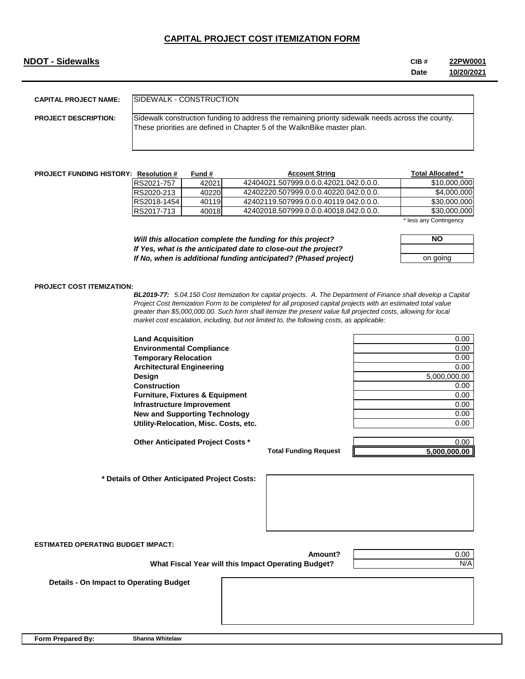## **NDOT - Sidewalks**

| CIB # | 22PW0001   |
|-------|------------|
| Date  | 10/20/2021 |

| <b>CAPITAL PROJECT NAME:</b> | ISIDEWALK - CONSTRUCTION                                                                                                                                                     |
|------------------------------|------------------------------------------------------------------------------------------------------------------------------------------------------------------------------|
| <b>PROJECT DESCRIPTION:</b>  | Sidewalk construction funding to address the remaining priority sidewalk needs across the county.<br>These priorities are defined in Chapter 5 of the WalknBike master plan. |

| <b>PROJECT FUNDING HISTORY: Resolution #</b> |             | Fund # | <b>Account String</b>                  | Total Allocated *      |
|----------------------------------------------|-------------|--------|----------------------------------------|------------------------|
|                                              | RS2021-757  | 42021  | 42404021.507999.0.0.0.42021.042.0.0.0. | \$10,000,000           |
|                                              | RS2020-213  | 40220  | 42402220.507999.0.0.0.40220.042.0.0.0. | \$4,000,000            |
|                                              | RS2018-1454 | 40119  | 42402119.507999.0.0.0.40119.042.0.0.0. | \$30,000,000           |
|                                              | RS2017-713  | 40018  | 42402018.507999.0.0.0.40018.042.0.0.0. | \$30,000,000           |
|                                              |             |        |                                        | * less any Contingency |

*Will this allocation complete the funding for this project? If Yes, what is the anticipated date to close-out the project? If No, when is additional funding anticipated? (Phased project)*

| NΟ       |  |  |
|----------|--|--|
|          |  |  |
| on going |  |  |

#### **PROJECT COST ITEMIZATION:**

*BL2019-77: 5.04.150 Cost Itemization for capital projects. A. The Department of Finance shall develop a Capital Project Cost Itemization Form to be completed for all proposed capital projects with an estimated total value greater than \$5,000,000.00. Such form shall itemize the present value full projected costs, allowing for local market cost escalation, including, but not limited to, the following costs, as applicable:*

| <b>Land Acquisition</b>                    | 0.00         |
|--------------------------------------------|--------------|
| <b>Environmental Compliance</b>            | 0.00         |
| <b>Temporary Relocation</b>                | 0.00         |
| <b>Architectural Engineering</b>           | 0.00         |
| <b>Design</b>                              | 5,000,000.00 |
| <b>Construction</b>                        | 0.00         |
| <b>Furniture, Fixtures &amp; Equipment</b> | 0.00         |
| Infrastructure Improvement                 | 0.00         |
| <b>New and Supporting Technology</b>       | 0.00         |
| Utility-Relocation, Misc. Costs, etc.      | 0.00         |

| Land Acquisition                           | v.vv         |
|--------------------------------------------|--------------|
| <b>Environmental Compliance</b>            | 0.00         |
| <b>Temporary Relocation</b>                | 0.00         |
| <b>Architectural Engineering</b>           | 0.00         |
| Design                                     | 5,000,000.00 |
| Construction                               | 0.00         |
| <b>Furniture, Fixtures &amp; Equipment</b> | 0.00         |
| <b>Infrastructure Improvement</b>          | 0.00         |
| <b>New and Supporting Technology</b>       | 0.00         |
| Utility-Relocation, Misc. Costs, etc.      | 0.00         |
|                                            |              |

**Other Anticipated Project Costs \*** 0.00

**Total Funding Request**

**5,000,000.00**

 **\* Details of Other Anticipated Project Costs:** 



**ESTIMATED OPERATING BUDGET IMPACT:**

 **What Fiscal Year will this Impact Operating Budget?**

0.00 N/A

 **Details - On Impact to Operating Budget**

**Form Prepared By: Shanna Whitelaw**

**Amount?**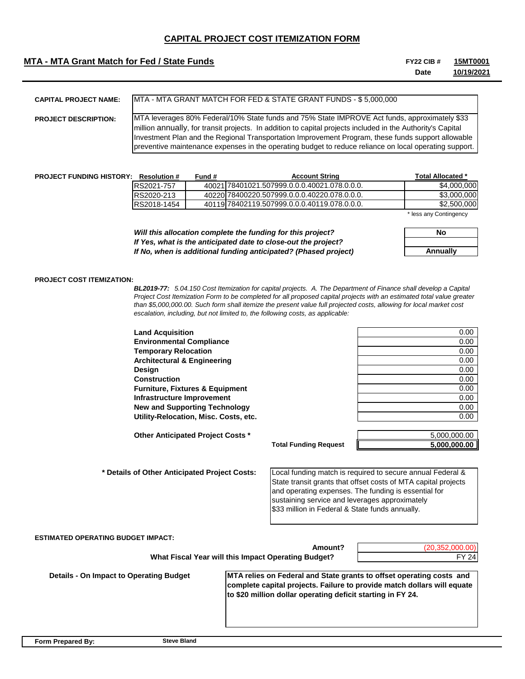## **MTA - MTA Grant Match for Fed / State Funds FIGURE 10 CONSTRANT AND RESOUR #** FY22 CIB #

**Date 15MT0001 10/19/2021**

| <b>CAPITAL PROJECT NAME:</b> | IMTA - MTA GRANT MATCH FOR FED & STATE GRANT FUNDS - \$ 5.000.000                                                                                                                                                                                                                                                                                                                                                             |
|------------------------------|-------------------------------------------------------------------------------------------------------------------------------------------------------------------------------------------------------------------------------------------------------------------------------------------------------------------------------------------------------------------------------------------------------------------------------|
| <b>PROJECT DESCRIPTION:</b>  | IMTA leverages 80% Federal/10% State funds and 75% State IMPROVE Act funds, approximately \$33<br>million annually, for transit projects. In addition to capital projects included in the Authority's Capital<br>Investment Plan and the Regional Transportation Improvement Program, these funds support allowable<br>preventive maintenance expenses in the operating budget to reduce reliance on local operating support. |

| <b>PROJECT FUNDING HISTORY:</b> | <b>Resolution #</b> | Fund # | <b>Account String</b>                        | <b>Total Allocated *</b> |
|---------------------------------|---------------------|--------|----------------------------------------------|--------------------------|
|                                 | RS2021-757          |        | 40021l78401021.507999.0.0.0.40021.078.0.0.0. | \$4,000,000              |
|                                 | RS2020-213          |        | 40220178400220.507999.0.0.0.40220.078.0.0.0. | \$3,000,000              |
|                                 | RS2018-1454         |        | 40119 78402119.507999.0.0.0.40119.078.0.0.0. | \$2,500,000              |
|                                 |                     |        |                                              |                          |

\* less any Contingency

*Will this allocation complete the funding for this project? If Yes, what is the anticipated date to close-out the project? If No, when is additional funding anticipated? (Phased project)*

| No              |  |
|-----------------|--|
|                 |  |
| <b>Annually</b> |  |

#### **PROJECT COST ITEMIZATION:**

*BL2019-77: 5.04.150 Cost Itemization for capital projects. A. The Department of Finance shall develop a Capital Project Cost Itemization Form to be completed for all proposed capital projects with an estimated total value greater than \$5,000,000.00. Such form shall itemize the present value full projected costs, allowing for local market cost escalation, including, but not limited to, the following costs, as applicable:*

| <b>Land Acquisition</b>                    | 0.00 |
|--------------------------------------------|------|
| <b>Environmental Compliance</b>            | 0.00 |
| <b>Temporary Relocation</b>                | 0.00 |
| <b>Architectural &amp; Engineering</b>     | 0.00 |
| Desian                                     | 0.00 |
| Construction                               | 0.00 |
| <b>Furniture, Fixtures &amp; Equipment</b> | 0.00 |
| Infrastructure Improvement                 | 0.00 |
| <b>New and Supporting Technology</b>       | 0.00 |
| Utility-Relocation, Misc. Costs, etc.      | 0.00 |
|                                            |      |

**Total Funding Request**

**Other Anticipated Project Costs \*** 5,000,000.00 **5,000,000.00**

 **\* Details of Other Anticipated Project Costs:** 

> Local funding match is required to secure annual Federal & State transit grants that offset costs of MTA capital projects and operating expenses. The funding is essential for sustaining service and leverages approximately \$33 million in Federal & State funds annually.

**ESTIMATED OPERATING BUDGET IMPACT:**

| Amount?                                             |  |
|-----------------------------------------------------|--|
| What Fiscal Year will this Impact Operating Budget? |  |

(20,352,000.00) FY 24

 **Details - On Impact to Operating Budget**

**MTA relies on Federal and State grants to offset operating costs and complete capital projects. Failure to provide match dollars will equate to \$20 million dollar operating deficit starting in FY 24.**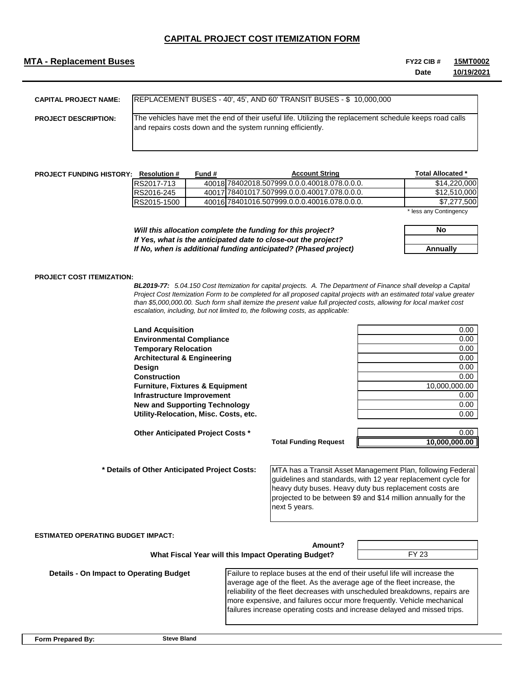### **MTA - Replacement Buses FY22 CIB #**

**Date 15MT0002 10/19/2021**

| <b>CAPITAL PROJECT NAME:</b> | <b>IREPLACEMENT BUSES - 40', 45', AND 60' TRANSIT BUSES - \$ 10,000,000</b>                                                                                           |
|------------------------------|-----------------------------------------------------------------------------------------------------------------------------------------------------------------------|
| <b>PROJECT DESCRIPTION:</b>  | The vehicles have met the end of their useful life. Utilizing the replacement schedule keeps road calls<br>and repairs costs down and the system running efficiently. |

| <b>PROJECT FUNDING HISTORY:</b> | <b>Resolution #</b> | Fund # | <b>Account String</b>                        | <b>Total Allocated *</b>  |
|---------------------------------|---------------------|--------|----------------------------------------------|---------------------------|
|                                 | RS2017-713          |        | 40018178402018.507999.0.0.0.40018.078.0.0.0. | \$14,220,000              |
|                                 | RS2016-245          |        | 40017178401017.507999.0.0.0.40017.078.0.0.0. | \$12,510,000              |
|                                 | RS2015-1500         |        | 40016178401016.507999.0.0.0.40016.078.0.0.0. | .500                      |
|                                 |                     |        |                                              | $*$ leas any Cantingnance |

s any Contingency

*Will this allocation complete the funding for this project? If Yes, what is the anticipated date to close-out the project? If No, when is additional funding anticipated? (Phased project)*

 **What Fiscal Year will this Impact Operating Budget?**

| No       |
|----------|
|          |
| Annually |

**10,000,000.00**

#### **PROJECT COST ITEMIZATION:**

*BL2019-77: 5.04.150 Cost Itemization for capital projects. A. The Department of Finance shall develop a Capital Project Cost Itemization Form to be completed for all proposed capital projects with an estimated total value greater than \$5,000,000.00. Such form shall itemize the present value full projected costs, allowing for local market cost escalation, including, but not limited to, the following costs, as applicable:*

**Land Acquisition** 0.00 **Environmental Compliance** 0.00 **Temporary Relocation** 0.00 **Architectural & Engineering** 0.00 **Design** 0.00 **Construction** 0.00 **Furniture, Fixtures & Equipment** 10,000,000.00 **Infrastructure Improvement** 0.00 **New and Supporting Technology 6.000 and Supporting Technology 6.000 and Supporting Technology 6.000 and Supporting Technology 6.000 and Supporting Technology 6.000 and Supporting Technology 6.000 and Supporting Technology Utility-Relocation, Misc. Costs, etc.** 0.00

**Other Anticipated Project Costs \*** 0.00

 **\* Details of Other Anticipated Project Costs:** 

MTA has a Transit Asset Management Plan, following Federal guidelines and standards, with 12 year replacement cycle for heavy duty buses. Heavy duty bus replacement costs are projected to be between \$9 and \$14 million annually for the next 5 years.

#### **ESTIMATED OPERATING BUDGET IMPACT:**

**Amount?**

**Total Funding Request**

FY 23

 **Details - On Impact to Operating Budget**

Failure to replace buses at the end of their useful life will increase the average age of the fleet. As the average age of the fleet increase, the reliability of the fleet decreases with unscheduled breakdowns, repairs are more expensive, and failures occur more frequently. Vehicle mechanical failures increase operating costs and increase delayed and missed trips.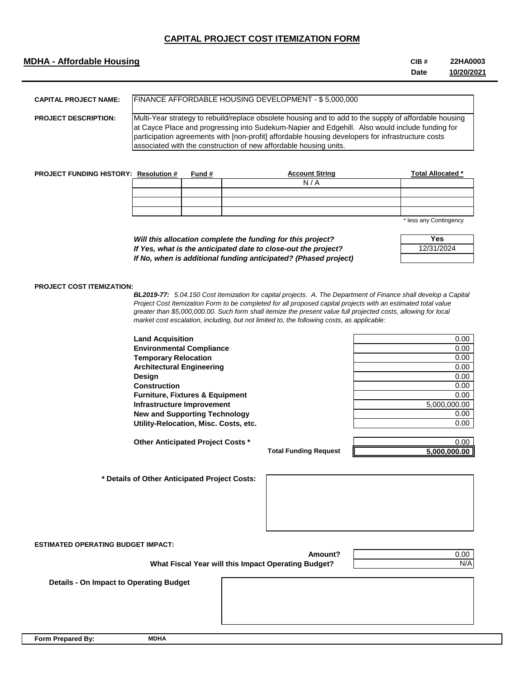## **MDHA - Affordable Housing CIB #**

**Date 22HA0003 10/20/2021**

| <b>CAPITAL PROJECT NAME:</b> | <b>IFINANCE AFFORDABLE HOUSING DEVELOPMENT - \$ 5,000,000</b>                                                                                                                                                                                                                                                                                                                       |
|------------------------------|-------------------------------------------------------------------------------------------------------------------------------------------------------------------------------------------------------------------------------------------------------------------------------------------------------------------------------------------------------------------------------------|
| <b>PROJECT DESCRIPTION:</b>  | Multi-Year strategy to rebuild/replace obsolete housing and to add to the supply of affordable housing<br>at Cayce Place and progressing into Sudekum-Napier and Edgehill. Also would include funding for<br>participation agreements with [non-profit] affordable housing developers for infrastructure costs<br>associated with the construction of new affordable housing units. |

| <b>PROJECT FUNDING HISTORY: Resolution #</b> | Fund # | <b>Account String</b> | <b>Total Allocated *</b>         |
|----------------------------------------------|--------|-----------------------|----------------------------------|
|                                              |        | N/A                   |                                  |
|                                              |        |                       |                                  |
|                                              |        |                       |                                  |
|                                              |        |                       |                                  |
|                                              |        |                       | <b>Wilson State Constitution</b> |

less any Contingency

| Will this allocation complete the funding for this project?     |
|-----------------------------------------------------------------|
| If Yes, what is the anticipated date to close-out the project?  |
| If No, when is additional funding anticipated? (Phased project) |

| Yes        |
|------------|
| 12/31/2024 |
|            |

### **PROJECT COST ITEMIZATION:**

*BL2019-77: 5.04.150 Cost Itemization for capital projects. A. The Department of Finance shall develop a Capital Project Cost Itemization Form to be completed for all proposed capital projects with an estimated total value greater than \$5,000,000.00. Such form shall itemize the present value full projected costs, allowing for local market cost escalation, including, but not limited to, the following costs, as applicable:*

| <b>Land Acquisition</b>                             |                              | 0.00         |
|-----------------------------------------------------|------------------------------|--------------|
| <b>Environmental Compliance</b>                     |                              | 0.00         |
| <b>Temporary Relocation</b>                         |                              | 0.00         |
| <b>Architectural Engineering</b>                    |                              | 0.00         |
| Design                                              |                              | 0.00         |
| <b>Construction</b>                                 |                              | 0.00         |
| <b>Furniture, Fixtures &amp; Equipment</b>          |                              | 0.00         |
| Infrastructure Improvement                          |                              | 5,000,000.00 |
| <b>New and Supporting Technology</b>                |                              | 0.00         |
| Utility-Relocation, Misc. Costs, etc.               |                              | 0.00         |
|                                                     |                              |              |
| Other Anticipated Project Costs *                   |                              | 0.00         |
|                                                     | <b>Total Funding Request</b> | 5,000,000.00 |
|                                                     |                              |              |
| * Details of Other Anticipated Project Costs:       |                              |              |
| <b>ESTIMATED OPERATING BUDGET IMPACT:</b>           |                              |              |
|                                                     | Amount?                      | 0.00         |
| What Fiscal Year will this Impact Operating Budget? |                              | N/A          |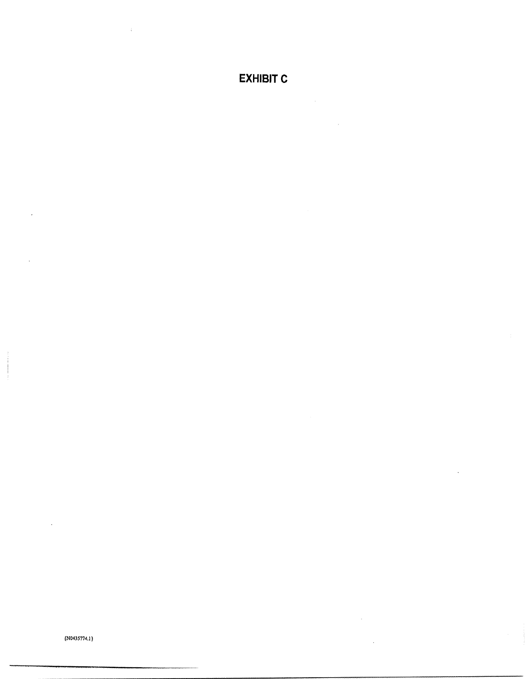**EXHIBIT C** 

 $\lambda$ 

 $\downarrow$ 

 ${N0435774.1}$ 

 $\cdot$ 

 $\cdot$ 

l,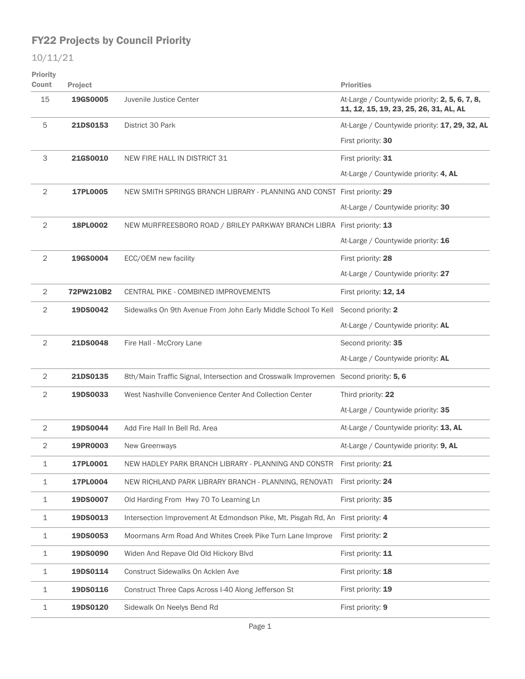| Priority<br>Count | <b>Project</b> |                                                                                      | <b>Priorities</b>                                                                        |
|-------------------|----------------|--------------------------------------------------------------------------------------|------------------------------------------------------------------------------------------|
| 15                | 19GS0005       | Juvenile Justice Center                                                              | At-Large / Countywide priority: 2, 5, 6, 7, 8,<br>11, 12, 15, 19, 23, 25, 26, 31, AL, AL |
| 5                 | 21DS0153       | District 30 Park                                                                     | At-Large / Countywide priority: 17, 29, 32, AL                                           |
|                   |                |                                                                                      | First priority: 30                                                                       |
| 3                 | 21GS0010       | NEW FIRE HALL IN DISTRICT 31                                                         | First priority: 31                                                                       |
|                   |                |                                                                                      | At-Large / Countywide priority: 4, AL                                                    |
| 2                 | 17PL0005       | NEW SMITH SPRINGS BRANCH LIBRARY - PLANNING AND CONST First priority: 29             |                                                                                          |
|                   |                |                                                                                      | At-Large / Countywide priority: 30                                                       |
| $\mathbf{2}$      | 18PL0002       | NEW MURFREESBORO ROAD / BRILEY PARKWAY BRANCH LIBRA First priority: 13               |                                                                                          |
|                   |                |                                                                                      | At-Large / Countywide priority: 16                                                       |
| 2                 | 19GS0004       | ECC/OEM new facility                                                                 | First priority: 28                                                                       |
|                   |                |                                                                                      | At-Large / Countywide priority: 27                                                       |
| 2                 | 72PW210B2      | CENTRAL PIKE - COMBINED IMPROVEMENTS                                                 | First priority: 12, 14                                                                   |
| 2                 | 19DS0042       | Sidewalks On 9th Avenue From John Early Middle School To Kell                        | Second priority: 2                                                                       |
|                   |                |                                                                                      | At-Large / Countywide priority: AL                                                       |
| $\overline{2}$    | 21DS0048       | Fire Hall - McCrory Lane                                                             | Second priority: 35                                                                      |
|                   |                |                                                                                      | At-Large / Countywide priority: AL                                                       |
| $\overline{2}$    | 21DS0135       | 8th/Main Traffic Signal, Intersection and Crosswalk Improvemen Second priority: 5, 6 |                                                                                          |
| $\overline{2}$    | 19DS0033       | West Nashville Convenience Center And Collection Center                              | Third priority: 22                                                                       |
|                   |                |                                                                                      | At-Large / Countywide priority: 35                                                       |
| $\overline{2}$    | 19DS0044       | Add Fire Hall In Bell Rd. Area                                                       | At-Large / Countywide priority: 13, AL                                                   |
| $\mathbf{2}$      | 19PR0003       | New Greenways                                                                        | At-Large / Countywide priority: 9, AL                                                    |
| $\mathbf 1$       | 17PL0001       | NEW HADLEY PARK BRANCH LIBRARY - PLANNING AND CONSTR                                 | First priority: 21                                                                       |
| $\mathbf 1$       | 17PL0004       | NEW RICHLAND PARK LIBRARY BRANCH - PLANNING, RENOVATI                                | First priority: 24                                                                       |
| $\mathbf 1$       | 19DS0007       | Old Harding From Hwy 70 To Learning Ln                                               | First priority: 35                                                                       |
| $\mathbf 1$       | 19DS0013       | Intersection Improvement At Edmondson Pike, Mt. Pisgah Rd, An First priority: 4      |                                                                                          |
| 1                 | 19DS0053       | Moormans Arm Road And Whites Creek Pike Turn Lane Improve                            | First priority: 2                                                                        |
| $\mathbf 1$       | 19DS0090       | Widen And Repave Old Old Hickory Blvd                                                | First priority: 11                                                                       |
| $\mathbf 1$       | 19DS0114       | Construct Sidewalks On Acklen Ave                                                    | First priority: 18                                                                       |
| $\mathbf 1$       | 19DS0116       | Construct Three Caps Across I-40 Along Jefferson St                                  | First priority: 19                                                                       |
| 1                 | 19DS0120       | Sidewalk On Neelys Bend Rd                                                           | First priority: 9                                                                        |
|                   |                |                                                                                      |                                                                                          |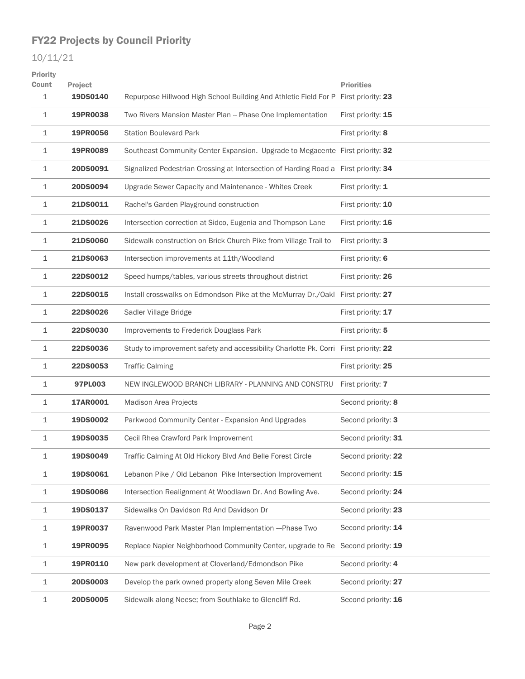| Priority<br>Count | Project  |                                                                                      | <b>Priorities</b>   |
|-------------------|----------|--------------------------------------------------------------------------------------|---------------------|
| 1                 | 19DS0140 | Repurpose Hillwood High School Building And Athletic Field For P First priority: 23  |                     |
| 1                 | 19PR0038 | Two Rivers Mansion Master Plan -- Phase One Implementation                           | First priority: 15  |
| 1                 | 19PR0056 | <b>Station Boulevard Park</b>                                                        | First priority: 8   |
| 1                 | 19PR0089 | Southeast Community Center Expansion. Upgrade to Megacente First priority: 32        |                     |
| 1                 | 20DS0091 | Signalized Pedestrian Crossing at Intersection of Harding Road a First priority: 34  |                     |
| 1                 | 20DS0094 | Upgrade Sewer Capacity and Maintenance - Whites Creek                                | First priority: 1   |
| 1                 | 21DS0011 | Rachel's Garden Playground construction                                              | First priority: 10  |
| 1                 | 21DS0026 | Intersection correction at Sidco, Eugenia and Thompson Lane                          | First priority: 16  |
| 1                 | 21DS0060 | Sidewalk construction on Brick Church Pike from Village Trail to                     | First priority: 3   |
| 1                 | 21DS0063 | Intersection improvements at 11th/Woodland                                           | First priority: 6   |
| 1                 | 22DS0012 | Speed humps/tables, various streets throughout district                              | First priority: 26  |
| 1                 | 22DS0015 | Install crosswalks on Edmondson Pike at the McMurray Dr./Oakl First priority: 27     |                     |
| 1                 | 22DS0026 | Sadler Village Bridge                                                                | First priority: 17  |
| 1                 | 22DS0030 | Improvements to Frederick Douglass Park                                              | First priority: 5   |
| 1                 | 22DS0036 | Study to improvement safety and accessibility Charlotte Pk. Corri First priority: 22 |                     |
| 1                 | 22DS0053 | <b>Traffic Calming</b>                                                               | First priority: 25  |
| 1                 | 97PL003  | NEW INGLEWOOD BRANCH LIBRARY - PLANNING AND CONSTRU                                  | First priority: 7   |
| 1                 | 17AR0001 | Madison Area Projects                                                                | Second priority: 8  |
| 1                 | 19DS0002 | Parkwood Community Center - Expansion And Upgrades                                   | Second priority: 3  |
| 1                 | 19DS0035 | Cecil Rhea Crawford Park Improvement                                                 | Second priority: 31 |
| 1                 | 19DS0049 | Traffic Calming At Old Hickory Blvd And Belle Forest Circle                          | Second priority: 22 |
| 1                 | 19DS0061 | Lebanon Pike / Old Lebanon Pike Intersection Improvement                             | Second priority: 15 |
| 1                 | 19DS0066 | Intersection Realignment At Woodlawn Dr. And Bowling Ave.                            | Second priority: 24 |
| $\mathbf 1$       | 19DS0137 | Sidewalks On Davidson Rd And Davidson Dr                                             | Second priority: 23 |
| $\mathbf 1$       | 19PR0037 | Ravenwood Park Master Plan Implementation --- Phase Two                              | Second priority: 14 |
| 1                 | 19PR0095 | Replace Napier Neighborhood Community Center, upgrade to Re Second priority: 19      |                     |
| 1                 | 19PR0110 | New park development at Cloverland/Edmondson Pike                                    | Second priority: 4  |
| 1                 | 20DS0003 | Develop the park owned property along Seven Mile Creek                               | Second priority: 27 |
| 1                 | 20DS0005 | Sidewalk along Neese; from Southlake to Glencliff Rd.                                | Second priority: 16 |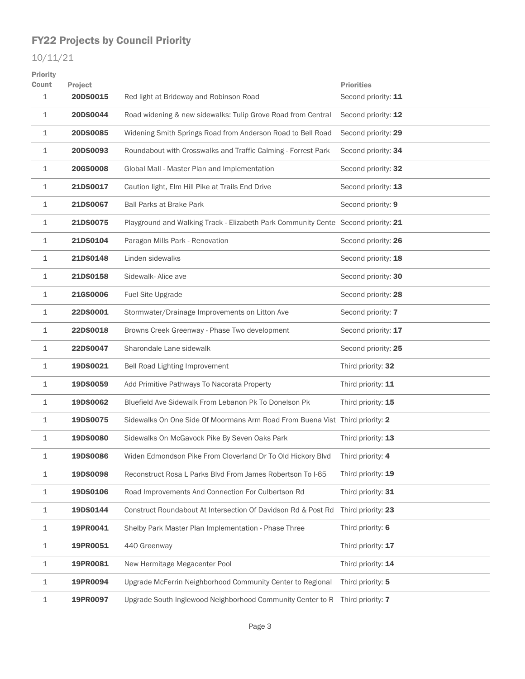| Priority<br>Count | Project         |                                                                                   | <b>Priorities</b>   |
|-------------------|-----------------|-----------------------------------------------------------------------------------|---------------------|
| 1                 | 20DS0015        | Red light at Brideway and Robinson Road                                           | Second priority: 11 |
| $\mathbf 1$       | 20DS0044        | Road widening & new sidewalks: Tulip Grove Road from Central                      | Second priority: 12 |
| 1                 | 20DS0085        | Widening Smith Springs Road from Anderson Road to Bell Road                       | Second priority: 29 |
| 1                 | 20DS0093        | Roundabout with Crosswalks and Traffic Calming - Forrest Park                     | Second priority: 34 |
| 1                 | <b>20GS0008</b> | Global Mall - Master Plan and Implementation                                      | Second priority: 32 |
| 1                 | 21DS0017        | Caution light, Elm Hill Pike at Trails End Drive                                  | Second priority: 13 |
| 1                 | 21DS0067        | <b>Ball Parks at Brake Park</b>                                                   | Second priority: 9  |
| 1                 | 21DS0075        | Playground and Walking Track - Elizabeth Park Community Cente Second priority: 21 |                     |
| 1                 | 21DS0104        | Paragon Mills Park - Renovation                                                   | Second priority: 26 |
| 1                 | 21DS0148        | Linden sidewalks                                                                  | Second priority: 18 |
| 1                 | 21DS0158        | Sidewalk-Alice ave                                                                | Second priority: 30 |
| 1                 | <b>21GS0006</b> | Fuel Site Upgrade                                                                 | Second priority: 28 |
| 1                 | 22DS0001        | Stormwater/Drainage Improvements on Litton Ave                                    | Second priority: 7  |
| 1                 | 22DS0018        | Browns Creek Greenway - Phase Two development                                     | Second priority: 17 |
| 1                 | 22DS0047        | Sharondale Lane sidewalk                                                          | Second priority: 25 |
| 1                 | 19DS0021        | Bell Road Lighting Improvement                                                    | Third priority: 32  |
| 1                 | 19DS0059        | Add Primitive Pathways To Nacorata Property                                       | Third priority: 11  |
| 1                 | 19DS0062        | Bluefield Ave Sidewalk From Lebanon Pk To Donelson Pk                             | Third priority: 15  |
| 1                 | 19DS0075        | Sidewalks On One Side Of Moormans Arm Road From Buena Vist Third priority: 2      |                     |
| 1                 | 19DS0080        | Sidewalks On McGavock Pike By Seven Oaks Park                                     | Third priority: 13  |
| 1                 | 19DS0086        | Widen Edmondson Pike From Cloverland Dr To Old Hickory Blvd                       | Third priority: 4   |
| 1                 | 19DS0098        | Reconstruct Rosa L Parks Blvd From James Robertson To I-65                        | Third priority: 19  |
| 1                 | 19DS0106        | Road Improvements And Connection For Culbertson Rd                                | Third priority: 31  |
| 1                 | 19DS0144        | Construct Roundabout At Intersection Of Davidson Rd & Post Rd                     | Third priority: 23  |
| 1                 | 19PR0041        | Shelby Park Master Plan Implementation - Phase Three                              | Third priority: 6   |
| 1                 | 19PR0051        | 440 Greenway                                                                      | Third priority: 17  |
| 1                 | 19PR0081        | New Hermitage Megacenter Pool                                                     | Third priority: 14  |
| 1                 | 19PR0094        | Upgrade McFerrin Neighborhood Community Center to Regional                        | Third priority: 5   |
| 1                 | 19PR0097        | Upgrade South Inglewood Neighborhood Community Center to R                        | Third priority: 7   |